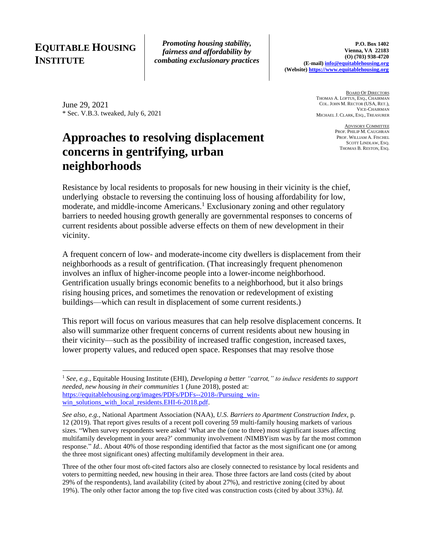## **EQUITABLE HOUSING INSTITUTE**

*Promoting housing stability, fairness and affordability by combating exclusionary practices*

June 29, 2021 \* Sec. V.B.3. tweaked, July 6, 2021

# **Approaches to resolving displacement concerns in gentrifying, urban neighborhoods**

**BOARD OF DIRECTORS** THOMAS A. LOFTUS, ESQ., CHAIRMAN COL. JOHN M. RECTOR (USA, RET.), VICE-CHAIRMAN MICHAEL J. CLARK, ESQ., TREASURER

> ADVISORY COMMITTEE PROF. PHILIP M. CAUGHRAN PROF. WILLIAM A. FISCHEL SCOTT LINDLAW, ESQ. THOMAS B. RESTON, ESQ.

Resistance by local residents to proposals for new housing in their vicinity is the chief, underlying obstacle to reversing the continuing loss of housing affordability for low, moderate, and middle-income Americans. <sup>1</sup> Exclusionary zoning and other regulatory barriers to needed housing growth generally are governmental responses to concerns of current residents about possible adverse effects on them of new development in their vicinity.

A frequent concern of low- and moderate-income city dwellers is displacement from their neighborhoods as a result of gentrification. (That increasingly frequent phenomenon involves an influx of higher-income people into a lower-income neighborhood. Gentrification usually brings economic benefits to a neighborhood, but it also brings rising housing prices, and sometimes the renovation or redevelopment of existing buildings—which can result in displacement of some current residents.)

This report will focus on various measures that can help resolve displacement concerns. It also will summarize other frequent concerns of current residents about new housing in their vicinity—such as the possibility of increased traffic congestion, increased taxes, lower property values, and reduced open space. Responses that may resolve those

<sup>1</sup> *See, e.g.,* Equitable Housing Institute (EHI), *Developing a better "carrot," to induce residents to support needed, new housing in their communities* 1 (June 2018), posted at: [https://equitablehousing.org/images/PDFs/PDFs--2018-/Pursuing\\_win](https://equitablehousing.org/images/PDFs/PDFs--2018-/Pursuing_win-win_solutions_with_local_residents.EHI-6-2018.pdf)[win\\_solutions\\_with\\_local\\_residents.EHI-6-2018.pdf.](https://equitablehousing.org/images/PDFs/PDFs--2018-/Pursuing_win-win_solutions_with_local_residents.EHI-6-2018.pdf)

*See also, e.g.,* National Apartment Association (NAA), *U.S. Barriers to Apartment Construction Index*, p. 12 (2019). That report gives results of a recent poll covering 59 multi-family housing markets of various sizes. "When survey respondents were asked 'What are the (one to three) most significant issues affecting multifamily development in your area?' community involvement /NIMBYism was by far the most common response." *Id.*. About 40% of those responding identified that factor as the most significant one (or among the three most significant ones) affecting multifamily development in their area.

Three of the other four most oft-cited factors also are closely connected to resistance by local residents and voters to permitting needed, new housing in their area. Those three factors are land costs (cited by about 29% of the respondents), land availability (cited by about 27%), and restrictive zoning (cited by about 19%). The only other factor among the top five cited was construction costs (cited by about 33%). *Id.*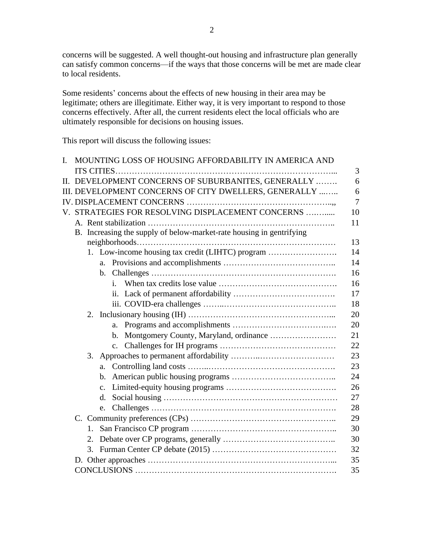concerns will be suggested. A well thought-out housing and infrastructure plan generally can satisfy common concerns—if the ways that those concerns will be met are made clear to local residents.

Some residents' concerns about the effects of new housing in their area may be legitimate; others are illegitimate. Either way, it is very important to respond to those concerns effectively. After all, the current residents elect the local officials who are ultimately responsible for decisions on housing issues.

This report will discuss the following issues:

| I. |                                                                      |    |                |              | MOUNTING LOSS OF HOUSING AFFORDABILITY IN AMERICA AND |          |
|----|----------------------------------------------------------------------|----|----------------|--------------|-------------------------------------------------------|----------|
|    |                                                                      |    |                |              |                                                       |          |
|    | II. DEVELOPMENT CONCERNS OF SUBURBANITES, GENERALLY                  |    |                |              |                                                       |          |
|    | III. DEVELOPMENT CONCERNS OF CITY DWELLERS, GENERALLY                |    |                |              |                                                       |          |
|    |                                                                      |    |                |              |                                                       |          |
|    |                                                                      |    |                |              | V. STRATEGIES FOR RESOLVING DISPLACEMENT CONCERNS     | 10       |
|    |                                                                      |    |                |              |                                                       | 11       |
|    | B. Increasing the supply of below-market-rate housing in gentrifying |    |                |              |                                                       |          |
|    |                                                                      |    |                |              |                                                       | 13       |
|    |                                                                      |    |                |              | 1. Low-income housing tax credit (LIHTC) program      | 14       |
|    |                                                                      |    |                |              |                                                       | 14       |
|    |                                                                      |    |                |              |                                                       | 16       |
|    |                                                                      |    |                | $\mathbf{i}$ |                                                       | 16       |
|    |                                                                      |    |                |              |                                                       | 17       |
|    |                                                                      |    |                |              |                                                       | 18       |
|    |                                                                      |    |                |              |                                                       | 20       |
|    |                                                                      |    |                |              |                                                       | 20       |
|    |                                                                      |    |                |              |                                                       | 21       |
|    |                                                                      |    |                |              |                                                       | 22<br>23 |
|    |                                                                      |    |                |              |                                                       |          |
|    |                                                                      |    | a.             |              |                                                       | 23       |
|    |                                                                      |    | $\mathbf{b}$ . |              |                                                       | 24       |
|    |                                                                      |    | $\mathbf{c}$ . |              |                                                       | 26       |
|    |                                                                      |    | d.             |              |                                                       | 27       |
|    |                                                                      |    | e.             |              |                                                       | 28       |
|    |                                                                      |    |                |              |                                                       | 29<br>30 |
|    |                                                                      |    | 1.             |              |                                                       |          |
|    |                                                                      | 2. |                |              |                                                       | 30       |
|    |                                                                      |    |                |              |                                                       | 32       |
|    |                                                                      |    |                |              |                                                       | 35       |
|    |                                                                      |    |                |              |                                                       | 35       |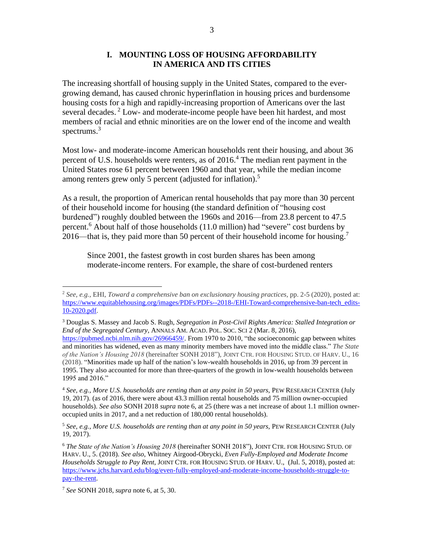#### **I. MOUNTING LOSS OF HOUSING AFFORDABILITY IN AMERICA AND ITS CITIES**

The increasing shortfall of housing supply in the United States, compared to the evergrowing demand, has caused chronic hyperinflation in housing prices and burdensome housing costs for a high and rapidly-increasing proportion of Americans over the last several decades.<sup>2</sup> Low- and moderate-income people have been hit hardest, and most members of racial and ethnic minorities are on the lower end of the income and wealth spectrums.<sup>3</sup>

Most low- and moderate-income American households rent their housing, and about 36 percent of U.S. households were renters, as of 2016.<sup>4</sup> The median rent payment in the United States rose 61 percent between 1960 and that year, while the median income among renters grew only 5 percent (adjusted for inflation).<sup>5</sup>

As a result, the proportion of American rental households that pay more than 30 percent of their household income for housing (the standard definition of "housing cost burdened") roughly doubled between the 1960s and 2016—from 23.8 percent to 47.5 percent. <sup>6</sup> About half of those households (11.0 million) had "severe" cost burdens by 2016—that is, they paid more than 50 percent of their household income for housing.<sup>7</sup>

Since 2001, the fastest growth in cost burden shares has been among moderate-income renters. For example, the share of cost-burdened renters

<sup>3</sup> Douglas S. Massey and Jacob S. Rugh, *Segregation in Post-Civil Rights America: Stalled Integration or End of the Segregated Century*, ANNALS AM. ACAD. POL. SOC. SCI 2 (Mar. 8, 2016), [https://pubmed.ncbi.nlm.nih.gov/26966459/.](https://pubmed.ncbi.nlm.nih.gov/26966459/) From 1970 to 2010, "the socioeconomic gap between whites and minorities has widened, even as many minority members have moved into the middle class." *The State of the Nation's Housing 2018* (hereinafter SONH 2018")*,* JOINT CTR. FOR HOUSING STUD. OF HARV. U., 16 (2018). "Minorities made up half of the nation's low-wealth households in 2016, up from 39 percent in 1995. They also accounted for more than three-quarters of the growth in low-wealth households between

1995 and 2016." <sup>4</sup> *See, e.g., More U.S. households are renting than at any point in 50 years,* PEW RESEARCH CENTER (July 19, 2017). (as of 2016, there were about 43.3 million rental households and 75 million owner-occupied households). *See also* SONH 2018 *supra* note 6, at 25 (there was a net increase of about 1.1 million owneroccupied units in 2017, and a net reduction of 180,000 rental households).

<sup>5</sup> *See, e.g., More U.S. households are renting than at any point in 50 years,* PEW RESEARCH CENTER (July 19, 2017).

<sup>6</sup> *The State of the Nation's Housing 2018* (hereinafter SONH 2018")*,* JOINT CTR. FOR HOUSING STUD. OF HARV. U., 5. (2018). *See also*, Whitney Airgood-Obrycki, *Even Fully-Employed and Moderate Income Households Struggle to Pay Rent*, JOINT CTR. FOR HOUSING STUD. OF HARV. U., (Jul. 5, 2018), posted at: [https://www.jchs.harvard.edu/blog/even-fully-employed-and-moderate-income-households-struggle-to](https://www.jchs.harvard.edu/blog/even-fully-employed-and-moderate-income-households-struggle-to-pay-the-rent)[pay-the-rent.](https://www.jchs.harvard.edu/blog/even-fully-employed-and-moderate-income-households-struggle-to-pay-the-rent)

<sup>7</sup> *See* SONH 2018*, supra* note 6, at 5, 30.

<sup>2</sup> *See, e.g.,* EHI, *Toward a comprehensive ban on exclusionary housing practices,* pp. 2-5 (2020), posted at: [https://www.equitablehousing.org/images/PDFs/PDFs--2018-/EHI-Toward-comprehensive-ban-tech\\_edits-](https://www.equitablehousing.org/images/PDFs/PDFs--2018-/EHI-Toward-comprehensive-ban-tech_edits-10-2020.pdf)[10-2020.pdf.](https://www.equitablehousing.org/images/PDFs/PDFs--2018-/EHI-Toward-comprehensive-ban-tech_edits-10-2020.pdf)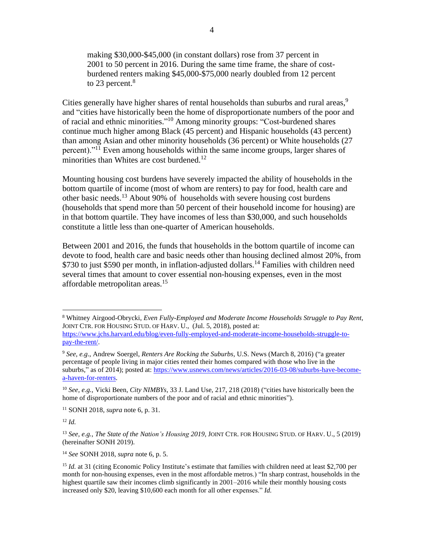making \$30,000-\$45,000 (in constant dollars) rose from 37 percent in 2001 to 50 percent in 2016. During the same time frame, the share of costburdened renters making \$45,000-\$75,000 nearly doubled from 12 percent to 23 percent.<sup>8</sup>

Cities generally have higher shares of rental households than suburbs and rural areas,<sup>9</sup> and "cities have historically been the home of disproportionate numbers of the poor and of racial and ethnic minorities."<sup>10</sup> Among minority groups: "Cost-burdened shares continue much higher among Black (45 percent) and Hispanic households (43 percent) than among Asian and other minority households (36 percent) or White households (27 percent)."<sup>11</sup> Even among households within the same income groups, larger shares of minorities than Whites are cost burdened.<sup>12</sup>

Mounting housing cost burdens have severely impacted the ability of households in the bottom quartile of income (most of whom are renters) to pay for food, health care and other basic needs.<sup>13</sup> About 90% of households with severe housing cost burdens (households that spend more than 50 percent of their household income for housing) are in that bottom quartile. They have incomes of less than \$30,000, and such households constitute a little less than one-quarter of American households.

Between 2001 and 2016, the funds that households in the bottom quartile of income can devote to food, health care and basic needs other than housing declined almost 20%, from \$730 to just \$590 per month, in inflation-adjusted dollars.<sup>14</sup> Families with children need several times that amount to cover essential non-housing expenses, even in the most affordable metropolitan areas.<sup>15</sup>

<sup>12</sup> *Id.*

<sup>14</sup> *See* SONH 2018, *supra* note 6, p. 5.

<sup>8</sup> Whitney Airgood-Obrycki, *Even Fully-Employed and Moderate Income Households Struggle to Pay Rent*, JOINT CTR. FOR HOUSING STUD. OF HARV. U., (Jul. 5, 2018), posted at: [https://www.jchs.harvard.edu/blog/even-fully-employed-and-moderate-income-households-struggle-to](https://www.jchs.harvard.edu/blog/even-fully-employed-and-moderate-income-households-struggle-to-pay-the-rent/)[pay-the-rent/.](https://www.jchs.harvard.edu/blog/even-fully-employed-and-moderate-income-households-struggle-to-pay-the-rent/)

<sup>9</sup> *See, e.g*., Andrew Soergel, *Renters Are Rocking the Suburbs,* U.S. News (March 8, 2016) ("a greater percentage of people living in major cities rented their homes compared with those who live in the suburbs," as of 2014); posted at: [https://www.usnews.com/news/articles/2016-03-08/suburbs-have-become](https://www.usnews.com/news/articles/2016-03-08/suburbs-have-become-a-haven-for-renters)[a-haven-for-renters.](https://www.usnews.com/news/articles/2016-03-08/suburbs-have-become-a-haven-for-renters)

<sup>10</sup> *See, e.g.,* Vicki Been, *City NIMBYs,* 33 J. Land Use, 217, 218 (2018) ("cities have historically been the home of disproportionate numbers of the poor and of racial and ethnic minorities").

<sup>11</sup> SONH 2018, *supra* note 6, p. 31.

<sup>13</sup> *See, e.g., The State of the Nation's Housing 2019,* JOINT CTR. FOR HOUSING STUD. OF HARV. U., 5 (2019) (hereinafter SONH 2019).

<sup>&</sup>lt;sup>15</sup> *Id.* at 31 (citing Economic Policy Institute's estimate that families with children need at least \$2,700 per month for non-housing expenses, even in the most affordable metros.) "In sharp contrast, households in the highest quartile saw their incomes climb significantly in 2001–2016 while their monthly housing costs increased only \$20, leaving \$10,600 each month for all other expenses." *Id.*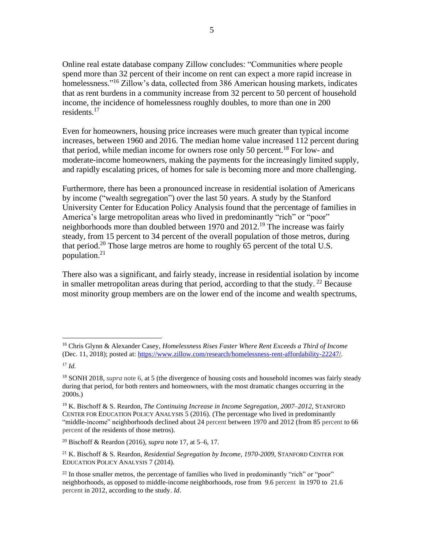Online real estate database company Zillow concludes: "Communities where people spend more than 32 percent of their income on rent can expect a more rapid increase in homelessness."<sup>16</sup> Zillow's data, collected from 386 American housing markets, indicates that as rent burdens in a community increase from 32 percent to 50 percent of household income, the incidence of homelessness roughly doubles, to more than one in 200 residents. 17

Even for homeowners, housing price increases were much greater than typical income increases, between 1960 and 2016. The median home value increased 112 percent during that period, while median income for owners rose only 50 percent.<sup>18</sup> For low- and moderate-income homeowners, making the payments for the increasingly limited supply, and rapidly escalating prices, of homes for sale is becoming more and more challenging.

Furthermore, there has been a pronounced increase in residential isolation of Americans by income ("wealth segregation") over the last 50 years. A study by the Stanford University Center for Education Policy Analysis found that the percentage of families in America's large metropolitan areas who lived in predominantly "rich" or "poor" neighborhoods more than doubled between 1970 and 2012.<sup>19</sup> The increase was fairly steady, from 15 percent to 34 percent of the overall population of those metros, during that period.<sup>20</sup> Those large metros are home to roughly 65 percent of the total U.S. population. 21

There also was a significant, and fairly steady, increase in residential isolation by income in smaller metropolitan areas during that period, according to that the study.  $^{22}$  Because most minority group members are on the lower end of the income and wealth spectrums,

<sup>16</sup> Chris Glynn & Alexander Casey, *Homelessness Rises Faster Where Rent Exceeds a Third of Income* (Dec. 11, 2018); posted at: [https://www.zillow.com/research/homelessness-rent-affordability-22247/.](https://www.zillow.com/research/homelessness-rent-affordability-22247/)

<sup>17</sup> *Id.*

<sup>&</sup>lt;sup>18</sup> SONH 2018, *supra* note 6, at 5 (the divergence of housing costs and household incomes was fairly steady during that period, for both renters and homeowners, with the most dramatic changes occurring in the 2000s.)

<sup>19</sup> K. Bischoff & S. Reardon, *The Continuing Increase in Income Segregation, 2007–2012*, STANFORD CENTER FOR EDUCATION POLICY ANALYSIS 5 (2016). (The percentage who lived in predominantly "middle-income" neighborhoods declined about 24 percent between 1970 and 2012 (from 85 percent to 66 percent of the residents of those metros).

<sup>20</sup> Bischoff & Reardon (2016), *supra* note 17, at 5–6, 17.

<sup>21</sup> K. Bischoff & S. Reardon, *Residential Segregation by Income, 1970-2009*, STANFORD CENTER FOR EDUCATION POLICY ANALYSIS 7 (2014).

 $^{22}$  In those smaller metros, the percentage of families who lived in predominantly "rich" or "poor" neighborhoods, as opposed to middle-income neighborhoods, rose from 9.6 percent in 1970 to 21.6 percent in 2012, according to the study. *Id*.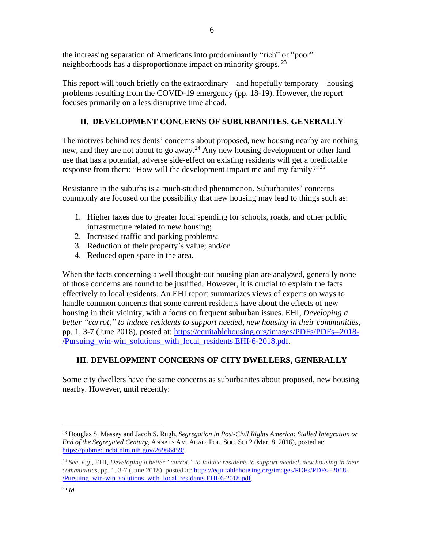the increasing separation of Americans into predominantly "rich" or "poor" neighborhoods has a disproportionate impact on minority groups.<sup>23</sup>

This report will touch briefly on the extraordinary—and hopefully temporary—housing problems resulting from the COVID-19 emergency (pp. 18-19). However, the report focuses primarily on a less disruptive time ahead.

## **II. DEVELOPMENT CONCERNS OF SUBURBANITES, GENERALLY**

The motives behind residents' concerns about proposed, new housing nearby are nothing new, and they are not about to go away.<sup>24</sup> Any new housing development or other land use that has a potential, adverse side-effect on existing residents will get a predictable response from them: "How will the development impact me and my family?"<sup>25</sup>

Resistance in the suburbs is a much-studied phenomenon. Suburbanites' concerns commonly are focused on the possibility that new housing may lead to things such as:

- 1. Higher taxes due to greater local spending for schools, roads, and other public infrastructure related to new housing;
- 2. Increased traffic and parking problems;
- 3. Reduction of their property's value; and/or
- 4. Reduced open space in the area.

When the facts concerning a well thought-out housing plan are analyzed, generally none of those concerns are found to be justified. However, it is crucial to explain the facts effectively to local residents. An EHI report summarizes views of experts on ways to handle common concerns that some current residents have about the effects of new housing in their vicinity, with a focus on frequent suburban issues. EHI, *Developing a better "carrot," to induce residents to support needed, new housing in their communities,*  pp. 1, 3-7 (June 2018), posted at: [https://equitablehousing.org/images/PDFs/PDFs--2018-](https://equitablehousing.org/images/PDFs/PDFs--2018-/Pursuing_win-win_solutions_with_local_residents.EHI-6-2018.pdf) [/Pursuing\\_win-win\\_solutions\\_with\\_local\\_residents.EHI-6-2018.pdf.](https://equitablehousing.org/images/PDFs/PDFs--2018-/Pursuing_win-win_solutions_with_local_residents.EHI-6-2018.pdf)

## **III. DEVELOPMENT CONCERNS OF CITY DWELLERS, GENERALLY**

Some city dwellers have the same concerns as suburbanites about proposed, new housing nearby. However, until recently:

<sup>23</sup> Douglas S. Massey and Jacob S. Rugh, *Segregation in Post-Civil Rights America: Stalled Integration or End of the Segregated Century*, ANNALS AM. ACAD. POL. SOC. SCI 2 (Mar. 8, 2016), posted at: [https://pubmed.ncbi.nlm.nih.gov/26966459/.](https://pubmed.ncbi.nlm.nih.gov/26966459/)

<sup>24</sup> *See, e.g.,* EHI, *Developing a better "carrot," to induce residents to support needed, new housing in their communities,* pp. 1, 3-7 (June 2018), posted at: [https://equitablehousing.org/images/PDFs/PDFs--2018-](https://equitablehousing.org/images/PDFs/PDFs--2018-/Pursuing_win-win_solutions_with_local_residents.EHI-6-2018.pdf) [/Pursuing\\_win-win\\_solutions\\_with\\_local\\_residents.EHI-6-2018.pdf.](https://equitablehousing.org/images/PDFs/PDFs--2018-/Pursuing_win-win_solutions_with_local_residents.EHI-6-2018.pdf)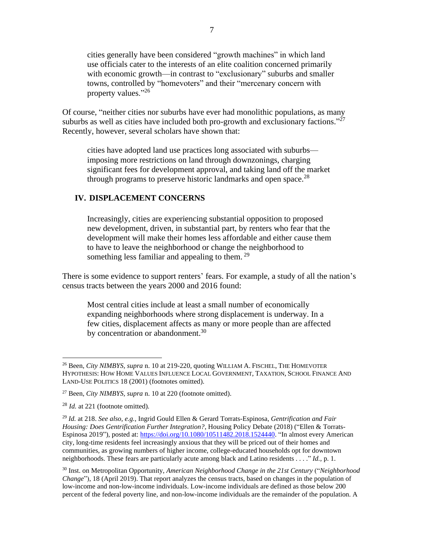cities generally have been considered "growth machines" in which land use officials cater to the interests of an elite coalition concerned primarily with economic growth—in contrast to "exclusionary" suburbs and smaller towns, controlled by "homevoters" and their "mercenary concern with property values."<sup>26</sup>

Of course, "neither cities nor suburbs have ever had monolithic populations, as many suburbs as well as cities have included both pro-growth and exclusionary factions." $^{27}$ Recently, however, several scholars have shown that:

cities have adopted land use practices long associated with suburbs imposing more restrictions on land through downzonings, charging significant fees for development approval, and taking land off the market through programs to preserve historic landmarks and open space.<sup>28</sup>

#### **IV. DISPLACEMENT CONCERNS**

Increasingly, cities are experiencing substantial opposition to proposed new development, driven, in substantial part, by renters who fear that the development will make their homes less affordable and either cause them to have to leave the neighborhood or change the neighborhood to something less familiar and appealing to them.<sup>29</sup>

There is some evidence to support renters' fears. For example, a study of all the nation's census tracts between the years 2000 and 2016 found:

Most central cities include at least a small number of economically expanding neighborhoods where strong displacement is underway. In a few cities, displacement affects as many or more people than are affected by concentration or abandonment.<sup>30</sup>

<sup>30</sup> Inst. on Metropolitan Opportunity, *American Neighborhood Change in the 21st Century* ("*Neighborhood Change*"), 18 (April 2019). That report analyzes the census tracts, based on changes in the population of low-income and non-low-income individuals. Low-income individuals are defined as those below 200 percent of the federal poverty line, and non-low-income individuals are the remainder of the population. A

<sup>26</sup> Been, *City NIMBYS, supra* n. 10 at 219-220, quoting WILLIAM A. FISCHEL, THE HOMEVOTER HYPOTHESIS: HOW HOME VALUES INFLUENCE LOCAL GOVERNMENT, TAXATION, SCHOOL FINANCE AND LAND-USE POLITICS 18 (2001) (footnotes omitted).

<sup>27</sup> Been, *City NIMBYS, supra* n. 10 at 220 (footnote omitted).

<sup>28</sup> *Id.* at 221 (footnote omitted).

<sup>29</sup> *Id.* at 218. *See also, e.g.,* Ingrid Gould Ellen & Gerard Torrats-Espinosa, *Gentrification and Fair Housing: Does Gentrification Further Integration?*, Housing Policy Debate (2018) ("Ellen & Torrats-Espinosa 2019"), posted at[: https://doi.org/10.1080/10511482.2018.1524440.](https://doi.org/10.1080/10511482.2018.1524440) "In almost every American city, long-time residents feel increasingly anxious that they will be priced out of their homes and communities, as growing numbers of higher income, college-educated households opt for downtown neighborhoods. These fears are particularly acute among black and Latino residents . . . ." *Id.,* p. 1.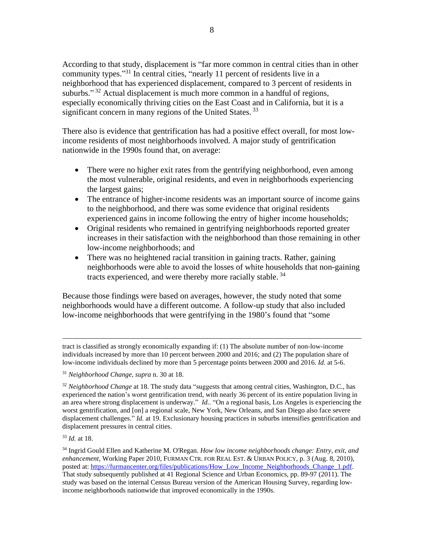According to that study, displacement is "far more common in central cities than in other community types."<sup>31</sup> In central cities, "nearly 11 percent of residents live in a neighborhood that has experienced displacement, compared to 3 percent of residents in suburbs." $32$  Actual displacement is much more common in a handful of regions, especially economically thriving cities on the East Coast and in California, but it is a significant concern in many regions of the United States.<sup>33</sup>

There also is evidence that gentrification has had a positive effect overall, for most lowincome residents of most neighborhoods involved. A major study of gentrification nationwide in the 1990s found that, on average:

- There were no higher exit rates from the gentrifying neighborhood, even among the most vulnerable, original residents, and even in neighborhoods experiencing the largest gains;
- The entrance of higher-income residents was an important source of income gains to the neighborhood, and there was some evidence that original residents experienced gains in income following the entry of higher income households;
- Original residents who remained in gentrifying neighborhoods reported greater increases in their satisfaction with the neighborhood than those remaining in other low-income neighborhoods; and
- There was no heightened racial transition in gaining tracts. Rather, gaining neighborhoods were able to avoid the losses of white households that non-gaining tracts experienced, and were thereby more racially stable.<sup>34</sup>

Because those findings were based on averages, however, the study noted that some neighborhoods would have a different outcome. A follow-up study that also included low-income neighborhoods that were gentrifying in the 1980's found that "some

tract is classified as strongly economically expanding if: (1) The absolute number of non-low-income individuals increased by more than 10 percent between 2000 and 2016; and (2) The population share of low-income individuals declined by more than 5 percentage points between 2000 and 2016. *Id.* at 5-6.

<sup>33</sup> *Id.* at 18.

<sup>31</sup> *Neighborhood Change, supra* n. 30 at 18.

<sup>32</sup> *Neighborhood Change* at 18. The study data "suggests that among central cities, Washington, D.C., has experienced the nation's worst gentrification trend, with nearly 36 percent of its entire population living in an area where strong displacement is underway." *Id..* "On a regional basis, Los Angeles is experiencing the worst gentrification, and [on] a regional scale, New York, New Orleans, and San Diego also face severe displacement challenges." *Id.* at 19. Exclusionary housing practices in suburbs intensifies gentrification and displacement pressures in central cities.

<sup>34</sup> Ingrid Gould Ellen and Katherine M. O'Regan. *How low income neighborhoods change: Entry, exit, and enhancement*, Working Paper 2010, FURMAN CTR. FOR REAL EST. & URBAN POLICY, p. 3 (Aug. 8, 2010), posted at: [https://furmancenter.org/files/publications/How\\_Low\\_Income\\_Neighborhoods\\_Change\\_1.pdf.](https://furmancenter.org/files/publications/How_Low_Income_Neighborhoods_Change_1.pdf) That study subsequently published at 41 Regional Science and Urban Economics, pp. 89-97 (2011). The study was based on the internal Census Bureau version of the American Housing Survey, regarding lowincome neighborhoods nationwide that improved economically in the 1990s.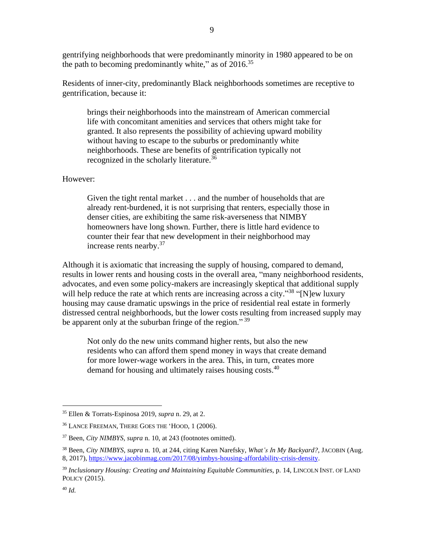gentrifying neighborhoods that were predominantly minority in 1980 appeared to be on the path to becoming predominantly white," as of  $2016$ <sup>35</sup>

Residents of inner-city, predominantly Black neighborhoods sometimes are receptive to gentrification, because it:

brings their neighborhoods into the mainstream of American commercial life with concomitant amenities and services that others might take for granted. It also represents the possibility of achieving upward mobility without having to escape to the suburbs or predominantly white neighborhoods. These are benefits of gentrification typically not recognized in the scholarly literature.<sup>36</sup>

#### However:

Given the tight rental market . . . and the number of households that are already rent-burdened, it is not surprising that renters, especially those in denser cities, are exhibiting the same risk-averseness that NIMBY homeowners have long shown. Further, there is little hard evidence to counter their fear that new development in their neighborhood may increase rents nearby.<sup>37</sup>

Although it is axiomatic that increasing the supply of housing, compared to demand, results in lower rents and housing costs in the overall area, "many neighborhood residents, advocates, and even some policy-makers are increasingly skeptical that additional supply will help reduce the rate at which rents are increasing across a city."<sup>38</sup> "[N]ew luxury housing may cause dramatic upswings in the price of residential real estate in formerly distressed central neighborhoods, but the lower costs resulting from increased supply may be apparent only at the suburban fringe of the region."<sup>39</sup>

Not only do the new units command higher rents, but also the new residents who can afford them spend money in ways that create demand for more lower-wage workers in the area. This, in turn, creates more demand for housing and ultimately raises housing costs.<sup>40</sup>

<sup>35</sup> Ellen & Torrats-Espinosa 2019, *supra* n. 29, at 2.

<sup>36</sup> LANCE FREEMAN, THERE GOES THE 'HOOD, 1 (2006).

<sup>37</sup> Been, *City NIMBYS, supra* n. 10, at 243 (footnotes omitted).

<sup>38</sup> Been, *City NIMBYS, supra* n. 10, at 244, citing Karen Narefsky, *What's In My Backyard?*, JACOBIN (Aug. 8, 2017), [https://www.jacobinmag.com/2017/08/yimbys-housing-affordability-crisis-density.](https://www.jacobinmag.com/2017/08/yimbys-housing-affordability-crisis-density)

<sup>39</sup> *Inclusionary Housing: Creating and Maintaining Equitable Communities*, p. 14, LINCOLN INST. OF LAND POLICY (2015).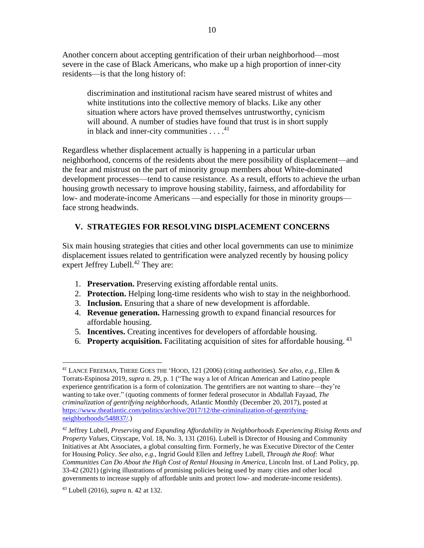Another concern about accepting gentrification of their urban neighborhood—most severe in the case of Black Americans, who make up a high proportion of inner-city residents—is that the long history of:

discrimination and institutional racism have seared mistrust of whites and white institutions into the collective memory of blacks. Like any other situation where actors have proved themselves untrustworthy, cynicism will abound. A number of studies have found that trust is in short supply in black and inner-city communities  $\dots$ .<sup>41</sup>

Regardless whether displacement actually is happening in a particular urban neighborhood, concerns of the residents about the mere possibility of displacement—and the fear and mistrust on the part of minority group members about White-dominated development processes—tend to cause resistance. As a result, efforts to achieve the urban housing growth necessary to improve housing stability, fairness, and affordability for low- and moderate-income Americans —and especially for those in minority groups face strong headwinds.

## **V. STRATEGIES FOR RESOLVING DISPLACEMENT CONCERNS**

Six main housing strategies that cities and other local governments can use to minimize displacement issues related to gentrification were analyzed recently by housing policy expert Jeffrey Lubell.<sup>42</sup> They are:

- 1. **Preservation.** Preserving existing affordable rental units.
- 2. **Protection.** Helping long-time residents who wish to stay in the neighborhood.
- 3. **Inclusion.** Ensuring that a share of new development is affordable.
- 4. **Revenue generation.** Harnessing growth to expand financial resources for affordable housing.
- 5. **Incentives.** Creating incentives for developers of affordable housing.
- 6. **Property acquisition.** Facilitating acquisition of sites for affordable housing. 43

<sup>41</sup> LANCE FREEMAN, THERE GOES THE 'HOOD, 121 (2006) (citing authorities). *See also, e.g.,* Ellen & Torrats-Espinosa 2019, *supra* n. 29, p. 1 ("The way a lot of African American and Latino people experience gentrification is a form of colonization. The gentrifiers are not wanting to share—they're wanting to take over." (quoting comments of former federal prosecutor in Abdallah Fayaad, *The criminalization of gentrifying neighborhoods*, Atlantic Monthly (December 20, 2017), posted at [https://www.theatlantic.com/politics/archive/2017/12/the-criminalization-of-gentrifying](https://www.theatlantic.com/politics/archive/2017/12/the-criminalization-of-gentrifying-neighborhoods/548837/)[neighborhoods/548837/.](https://www.theatlantic.com/politics/archive/2017/12/the-criminalization-of-gentrifying-neighborhoods/548837/))

<sup>42</sup> Jeffrey Lubell, *Preserving and Expanding Affordability in Neighborhoods Experiencing Rising Rents and Property Values*, Cityscape, Vol. 18, No. 3, 131 (2016). Lubell is Director of Housing and Community Initiatives at Abt Associates, a global consulting firm. Formerly, he was Executive Director of the Center for Housing Policy. *See also, e.g.,* Ingrid Gould Ellen and Jeffrey Lubell, *Through the Roof: What Communities Can Do About the High Cost of Rental Housing in America*, Lincoln Inst. of Land Policy, pp. 33-42 (2021) (giving illustrations of promising policies being used by many cities and other local governments to increase supply of affordable units and protect low- and moderate-income residents).

<sup>43</sup> Lubell (2016), *supra* n. 42 at 132.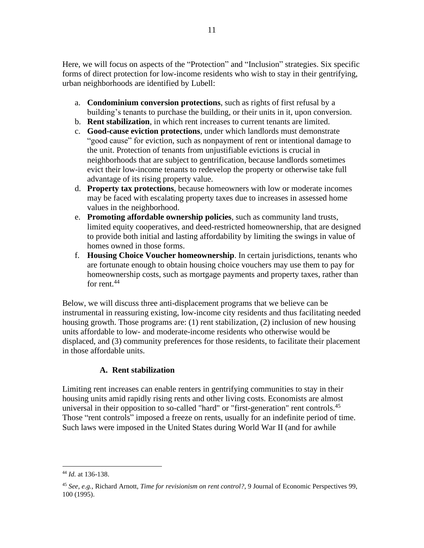Here, we will focus on aspects of the "Protection" and "Inclusion" strategies. Six specific forms of direct protection for low-income residents who wish to stay in their gentrifying, urban neighborhoods are identified by Lubell:

- a. **Condominium conversion protections**, such as rights of first refusal by a building's tenants to purchase the building, or their units in it, upon conversion.
- b. **Rent stabilization**, in which rent increases to current tenants are limited.
- c. **Good-cause eviction protections**, under which landlords must demonstrate "good cause" for eviction, such as nonpayment of rent or intentional damage to the unit. Protection of tenants from unjustifiable evictions is crucial in neighborhoods that are subject to gentrification, because landlords sometimes evict their low-income tenants to redevelop the property or otherwise take full advantage of its rising property value.
- d. **Property tax protections**, because homeowners with low or moderate incomes may be faced with escalating property taxes due to increases in assessed home values in the neighborhood.
- e. **Promoting affordable ownership policies**, such as community land trusts, limited equity cooperatives, and deed-restricted homeownership, that are designed to provide both initial and lasting affordability by limiting the swings in value of homes owned in those forms.
- f. **Housing Choice Voucher homeownership**. In certain jurisdictions, tenants who are fortunate enough to obtain housing choice vouchers may use them to pay for homeownership costs, such as mortgage payments and property taxes, rather than for rent. 44

Below, we will discuss three anti-displacement programs that we believe can be instrumental in reassuring existing, low-income city residents and thus facilitating needed housing growth. Those programs are: (1) rent stabilization, (2) inclusion of new housing units affordable to low- and moderate-income residents who otherwise would be displaced, and (3) community preferences for those residents, to facilitate their placement in those affordable units.

## **A. Rent stabilization**

Limiting rent increases can enable renters in gentrifying communities to stay in their housing units amid rapidly rising rents and other living costs. Economists are almost universal in their opposition to so-called "hard" or "first-generation" rent controls.<sup>45</sup> Those "rent controls" imposed a freeze on rents, usually for an indefinite period of time. Such laws were imposed in the United States during World War II (and for awhile

<sup>44</sup> *Id.* at 136-138.

<sup>45</sup> *See, e.g.,* Richard Arnott, *Time for revisionism on rent control?,* 9 Journal of Economic Perspectives 99, 100 (1995).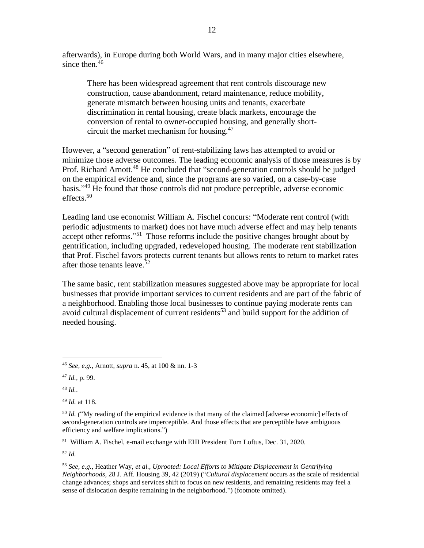afterwards), in Europe during both World Wars, and in many major cities elsewhere, since then.<sup>46</sup>

There has been widespread agreement that rent controls discourage new construction, cause abandonment, retard maintenance, reduce mobility, generate mismatch between housing units and tenants, exacerbate discrimination in rental housing, create black markets, encourage the conversion of rental to owner-occupied housing, and generally shortcircuit the market mechanism for housing.<sup>47</sup>

However, a "second generation" of rent-stabilizing laws has attempted to avoid or minimize those adverse outcomes. The leading economic analysis of those measures is by Prof. Richard Arnott.<sup>48</sup> He concluded that "second-generation controls should be judged on the empirical evidence and, since the programs are so varied, on a case-by-case basis." <sup>49</sup> He found that those controls did not produce perceptible, adverse economic effects.<sup>50</sup>

Leading land use economist William A. Fischel concurs: "Moderate rent control (with periodic adjustments to market) does not have much adverse effect and may help tenants accept other reforms."<sup>51</sup> Those reforms include the positive changes brought about by gentrification, including upgraded, redeveloped housing. The moderate rent stabilization that Prof. Fischel favors protects current tenants but allows rents to return to market rates after those tenants leave. 52

The same basic, rent stabilization measures suggested above may be appropriate for local businesses that provide important services to current residents and are part of the fabric of a neighborhood. Enabling those local businesses to continue paying moderate rents can avoid cultural displacement of current residents<sup>53</sup> and build support for the addition of needed housing.

51 William A. Fischel, e-mail exchange with EHI President Tom Loftus, Dec. 31, 2020.

<sup>46</sup> *See, e.g.,* Arnott, *supra* n. 45, at 100 & nn. 1-3

<sup>47</sup> *Id.,* p. 99.

<sup>48</sup> *Id.*.

<sup>49</sup> *Id.* at 118.

<sup>50</sup> *Id. (*"My reading of the empirical evidence is that many of the claimed [adverse economic] effects of second-generation controls are imperceptible. And those effects that are perceptible have ambiguous efficiency and welfare implications.")

<sup>53</sup> *See, e.g.,* Heather Way, *et al., Uprooted: Local Efforts to Mitigate Displacement in Gentrifying Neighborhoods,* 28 J. Aff. Housing 39, 42 (2019) ("*Cultural displacement* occurs as the scale of residential change advances; shops and services shift to focus on new residents, and remaining residents may feel a sense of dislocation despite remaining in the neighborhood.") (footnote omitted).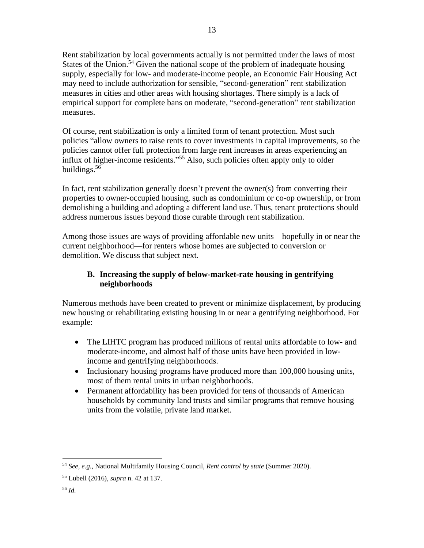Rent stabilization by local governments actually is not permitted under the laws of most States of the Union.<sup>54</sup> Given the national scope of the problem of inadequate housing supply, especially for low- and moderate-income people, an Economic Fair Housing Act may need to include authorization for sensible, "second-generation" rent stabilization measures in cities and other areas with housing shortages. There simply is a lack of empirical support for complete bans on moderate, "second-generation" rent stabilization measures.

13

Of course, rent stabilization is only a limited form of tenant protection. Most such policies "allow owners to raise rents to cover investments in capital improvements, so the policies cannot offer full protection from large rent increases in areas experiencing an influx of higher-income residents." <sup>55</sup> Also, such policies often apply only to older buildings.<sup>56</sup>

In fact, rent stabilization generally doesn't prevent the owner(s) from converting their properties to owner-occupied housing, such as condominium or co-op ownership, or from demolishing a building and adopting a different land use. Thus, tenant protections should address numerous issues beyond those curable through rent stabilization.

Among those issues are ways of providing affordable new units—hopefully in or near the current neighborhood—for renters whose homes are subjected to conversion or demolition. We discuss that subject next.

## **B. Increasing the supply of below-market-rate housing in gentrifying neighborhoods**

Numerous methods have been created to prevent or minimize displacement, by producing new housing or rehabilitating existing housing in or near a gentrifying neighborhood. For example:

- The LIHTC program has produced millions of rental units affordable to low- and moderate-income, and almost half of those units have been provided in lowincome and gentrifying neighborhoods.
- Inclusionary housing programs have produced more than 100,000 housing units, most of them rental units in urban neighborhoods.
- Permanent affordability has been provided for tens of thousands of American households by community land trusts and similar programs that remove housing units from the volatile, private land market.

<sup>54</sup> *See, e.g.,* National Multifamily Housing Council, *Rent control by state* (Summer 2020).

<sup>55</sup> Lubell (2016), *supra* n. 42 at 137.

<sup>56</sup> *Id.*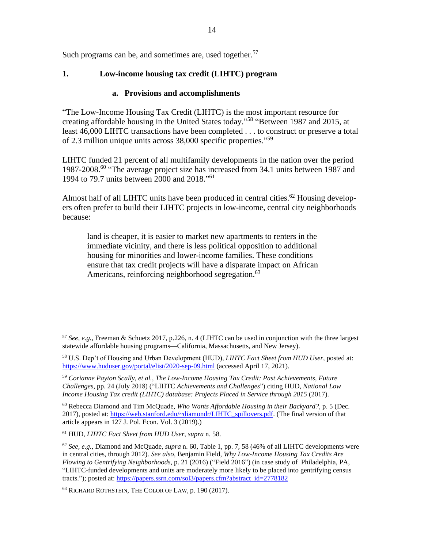Such programs can be, and sometimes are, used together.<sup>57</sup>

#### **1. Low-income housing tax credit (LIHTC) program**

#### **a. Provisions and accomplishments**

"The Low-Income Housing Tax Credit (LIHTC) is the most important resource for creating affordable housing in the United States today." 58 "Between 1987 and 2015, at least 46,000 LIHTC transactions have been completed . . . to construct or preserve a total of 2.3 million unique units across 38,000 specific properties."<sup>59</sup>

LIHTC funded 21 percent of all multifamily developments in the nation over the period 1987-2008.<sup>60</sup> "The average project size has increased from 34.1 units between 1987 and 1994 to 79.7 units between 2000 and 2018." 61

Almost half of all LIHTC units have been produced in central cities.<sup>62</sup> Housing developers often prefer to build their LIHTC projects in low-income, central city neighborhoods because:

land is cheaper, it is easier to market new apartments to renters in the immediate vicinity, and there is less political opposition to additional housing for minorities and lower-income families. These conditions ensure that tax credit projects will have a disparate impact on African Americans, reinforcing neighborhood segregation.<sup>63</sup>

<sup>60</sup> Rebecca Diamond and Tim McQuade, *Who Wants Affordable Housing in their Backyard?*, p. 5 (Dec. 2017), posted at: [https://web.stanford.edu/~diamondr/LIHTC\\_spillovers.pdf.](https://web.stanford.edu/~diamondr/LIHTC_spillovers.pdf) (The final version of that article appears in 127 J. Pol. Econ. Vol. 3 (2019).)

<sup>61</sup> HUD, *LIHTC Fact Sheet from HUD User*, *supra* n. 58.

<sup>57</sup> *See, e.g.,* Freeman & Schuetz 2017, p.226, n. 4 (LIHTC can be used in conjunction with the three largest statewide affordable housing programs—California, Massachusetts, and New Jersey).

<sup>58</sup> U.S. Dep't of Housing and Urban Development (HUD), *LIHTC Fact Sheet from HUD User*, posted at: <https://www.huduser.gov/portal/elist/2020-sep-09.html> (accessed April 17, 2021).

<sup>59</sup> *Corianne Payton Scally, et al., The Low-Income Housing Tax Credit: Past Achievements, Future Challenges*, pp. 24 (July 2018) ("LIHTC *Achievements and Challenges*") citing HUD, *National Low Income Housing Tax credit (LIHTC) database: Projects Placed in Service through 2015* (2017).

<sup>62</sup> *See, e.g.,* Diamond and McQuade, *supra* n. 60, Table 1, pp. 7, 58 (46% of all LIHTC developments were in central cities, through 2012). *See also,* Benjamin Field, *Why Low-Income Housing Tax Credits Are Flowing to Gentrifying Neighborhoods,* p. 21 (2016) ("Field 2016") (in case study of Philadelphia, PA, "LIHTC-funded developments and units are moderately more likely to be placed into gentrifying census tracts."); posted at: [https://papers.ssrn.com/sol3/papers.cfm?abstract\\_id=2778182](https://papers.ssrn.com/sol3/papers.cfm?abstract_id=2778182)

<sup>63</sup> RICHARD ROTHSTEIN, THE COLOR OF LAW, p. 190 (2017).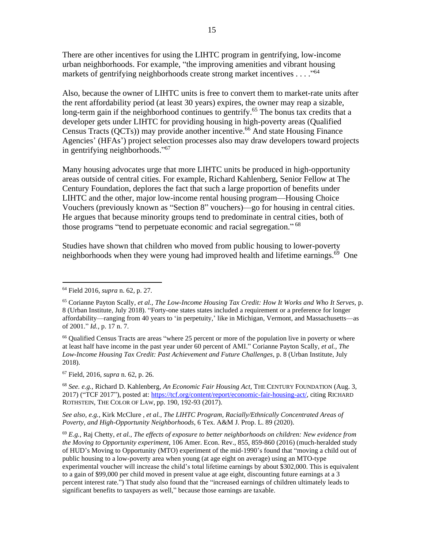There are other incentives for using the LIHTC program in gentrifying, low-income urban neighborhoods. For example, "the improving amenities and vibrant housing markets of gentrifying neighborhoods create strong market incentives . . . . "<sup>64</sup>

Also, because the owner of LIHTC units is free to convert them to market-rate units after the rent affordability period (at least 30 years) expires, the owner may reap a sizable, long-term gain if the neighborhood continues to gentrify.<sup>65</sup> The bonus tax credits that a developer gets under LIHTC for providing housing in high-poverty areas (Qualified Census Tracts ( $QCTs$ )) may provide another incentive.<sup>66</sup> And state Housing Finance Agencies' (HFAs') project selection processes also may draw developers toward projects in gentrifying neighborhoods." 67

Many housing advocates urge that more LIHTC units be produced in high-opportunity areas outside of central cities. For example, Richard Kahlenberg, Senior Fellow at The Century Foundation, deplores the fact that such a large proportion of benefits under LIHTC and the other, major low-income rental housing program—Housing Choice Vouchers (previously known as "Section 8" vouchers)—go for housing in central cities. He argues that because minority groups tend to predominate in central cities, both of those programs "tend to perpetuate economic and racial segregation." <sup>68</sup>

Studies have shown that children who moved from public housing to lower-poverty neighborhoods when they were young had improved health and lifetime earnings.<sup>69</sup> One

<sup>66</sup> Qualified Census Tracts are areas "where 25 percent or more of the population live in poverty or where at least half have income in the past year under 60 percent of AMI." Corianne Payton Scally, *et al., The Low-Income Housing Tax Credit: Past Achievement and Future Challenges,* p. 8 (Urban Institute, July 2018).

<sup>67</sup> Field, 2016, *supra* n. 62, p. 26.

<sup>68</sup> *See. e.g.,* Richard D. Kahlenberg, *An Economic Fair Housing Act*, THE CENTURY FOUNDATION (Aug. 3, 2017) ("TCF 2017"), posted at: [https://tcf.org/content/report/economic-fair-housing-act/,](https://tcf.org/content/report/economic-fair-housing-act/) citing RICHARD ROTHSTEIN, THE COLOR OF LAW, pp. 190, 192-93 (2017).

*See also, e.g.,* Kirk McClure , *et al., The LIHTC Program, Racially/Ethnically Concentrated Areas of Poverty, and High-Opportunity Neighborhoods*, 6 Tex. A&M J. Prop. L. 89 (2020).

<sup>64</sup> Field 2016, *supra* n. 62, p. 27.

<sup>65</sup> Corianne Payton Scally, *et al., The Low-Income Housing Tax Credit: How It Works and Who It Serves,* p. 8 (Urban Institute, July 2018). "Forty-one states states included a requirement or a preference for longer affordability—ranging from 40 years to 'in perpetuity,' like in Michigan, Vermont, and Massachusetts—as of 2001." *Id.,* p. 17 n. 7.

<sup>69</sup> *E.g.,* Raj Chetty, *et al., The effects of exposure to better neighborhoods on children: New evidence from the Moving to Opportunity experiment*, 106 Amer. Econ. Rev., 855, 859-860 (2016) (much-heralded study of HUD's Moving to Opportunity (MTO) experiment of the mid-1990's found that "moving a child out of public housing to a low-poverty area when young (at age eight on average) using an MTO-type experimental voucher will increase the child's total lifetime earnings by about \$302,000. This is equivalent to a gain of \$99,000 per child moved in present value at age eight, discounting future earnings at a 3 percent interest rate.") That study also found that the "increased earnings of children ultimately leads to significant benefits to taxpayers as well," because those earnings are taxable.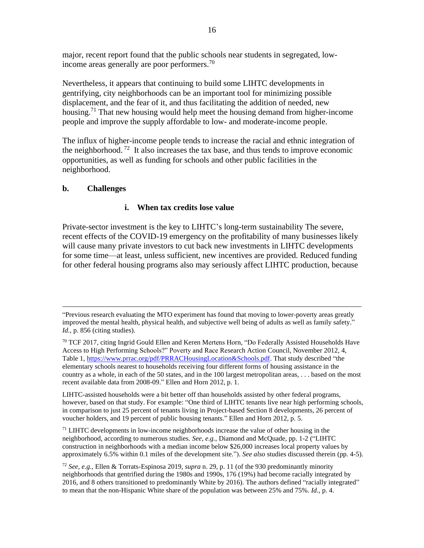major, recent report found that the public schools near students in segregated, lowincome areas generally are poor performers.<sup>70</sup>

Nevertheless, it appears that continuing to build some LIHTC developments in gentrifying, city neighborhoods can be an important tool for minimizing possible displacement, and the fear of it, and thus facilitating the addition of needed, new housing.<sup>71</sup> That new housing would help meet the housing demand from higher-income people and improve the supply affordable to low- and moderate-income people.

The influx of higher-income people tends to increase the racial and ethnic integration of the neighborhood.<sup>72</sup> It also increases the tax base, and thus tends to improve economic opportunities, as well as funding for schools and other public facilities in the neighborhood.

#### **b. Challenges**

#### **i. When tax credits lose value**

Private-sector investment is the key to LIHTC's long-term sustainability The severe, recent effects of the COVID-19 emergency on the profitability of many businesses likely will cause many private investors to cut back new investments in LIHTC developments for some time—at least, unless sufficient, new incentives are provided. Reduced funding for other federal housing programs also may seriously affect LIHTC production, because

LIHTC-assisted households were a bit better off than households assisted by other federal programs, however, based on that study. For example: "One third of LIHTC tenants live near high performing schools, in comparison to just 25 percent of tenants living in Project-based Section 8 developments, 26 percent of voucher holders, and 19 percent of public housing tenants." Ellen and Horn 2012, p. 5.

<sup>71</sup> LIHTC developments in low-income neighborhoods increase the value of other housing in the neighborhood, according to numerous studies*. See, e.g.,* Diamond and McQuade, pp. 1-2 ("LIHTC construction in neighborhoods with a median income below \$26,000 increases local property values by approximately 6.5% within 0.1 miles of the development site."). *See also* studies discussed therein (pp. 4-5).

<sup>&</sup>quot;Previous research evaluating the MTO experiment has found that moving to lower-poverty areas greatly improved the mental health, physical health, and subjective well being of adults as well as family safety." *Id.,* p. 856 (citing studies).

<sup>&</sup>lt;sup>70</sup> TCF 2017, citing Ingrid Gould Ellen and Keren Mertens Horn, "Do Federally Assisted Households Have Access to High Performing Schools?" Poverty and Race Research Action Council, November 2012, 4, Table 1, [https://www.prrac.org/pdf/PRRACHousingLocation&Schools.pdf.](https://www.prrac.org/pdf/PRRACHousingLocation&Schools.pdf) That study described "the elementary schools nearest to households receiving four different forms of housing assistance in the country as a whole, in each of the 50 states, and in the 100 largest metropolitan areas, . . . based on the most recent available data from 2008-09." Ellen and Horn 2012, p. 1.

<sup>72</sup> *See, e.g.,* Ellen & Torrats-Espinosa 2019, *supra* n. 29, p. 11 (of the 930 predominantly minority neighborhoods that gentrified during the 1980s and 1990s, 176 (19%) had become racially integrated by 2016, and 8 others transitioned to predominantly White by 2016). The authors defined "racially integrated" to mean that the non-Hispanic White share of the population was between 25% and 75%. *Id.,* p. 4.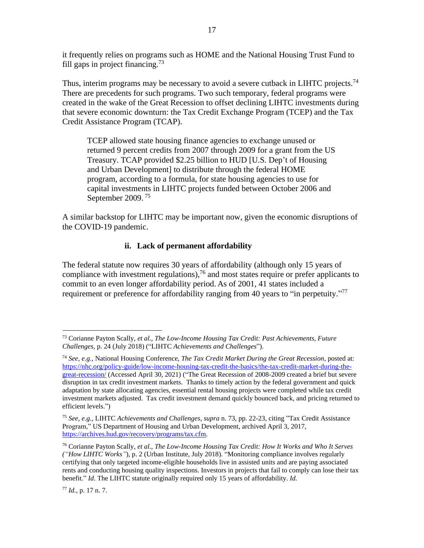it frequently relies on programs such as HOME and the National Housing Trust Fund to fill gaps in project financing.<sup>73</sup>

17

Thus, interim programs may be necessary to avoid a severe cutback in LIHTC projects.<sup>74</sup> There are precedents for such programs. Two such temporary, federal programs were created in the wake of the Great Recession to offset declining LIHTC investments during that severe economic downturn: the Tax Credit Exchange Program (TCEP) and the Tax Credit Assistance Program (TCAP).

TCEP allowed state housing finance agencies to exchange unused or returned 9 percent credits from 2007 through 2009 for a grant from the US Treasury. TCAP provided \$2.25 billion to HUD [U.S. Dep't of Housing and Urban Development] to distribute through the federal HOME program, according to a formula, for state housing agencies to use for capital investments in LIHTC projects funded between October 2006 and September 2009.<sup>75</sup>

A similar backstop for LIHTC may be important now, given the economic disruptions of the COVID-19 pandemic.

#### **ii. Lack of permanent affordability**

The federal statute now requires 30 years of affordability (although only 15 years of compliance with investment regulations),  $76$  and most states require or prefer applicants to commit to an even longer affordability period. As of 2001, 41 states included a requirement or preference for affordability ranging from 40 years to "in perpetuity."<sup>77</sup>

<sup>73</sup> Corianne Payton Scally, *et al., The Low-Income Housing Tax Credit: Past Achievements, Future Challenges,* p. 24 (July 2018) ("LIHTC *Achievements and Challenges*").

<sup>74</sup> *See, e.g.,* National Housing Conference, *The Tax Credit Market During the Great Recession,* posted at: [https://nhc.org/policy-guide/low-income-housing-tax-credit-the-basics/the-tax-credit-market-during-the](https://nhc.org/policy-guide/low-income-housing-tax-credit-the-basics/the-tax-credit-market-during-the-great-recession/)[great-recession/](https://nhc.org/policy-guide/low-income-housing-tax-credit-the-basics/the-tax-credit-market-during-the-great-recession/) (Accessed April 30, 2021) ("The Great Recession of 2008-2009 created a brief but severe disruption in tax credit investment markets. Thanks to timely action by the federal government and quick adaptation by state allocating agencies, essential rental housing projects were completed while tax credit investment markets adjusted. Tax credit investment demand quickly bounced back, and pricing returned to efficient levels.")

<sup>75</sup> *See, e.g.,* LIHTC *Achievements and Challenges, supra* n. 73, pp. 22-23, citing "Tax Credit Assistance Program," US Department of Housing and Urban Development, archived April 3, 2017, [https://archives.hud.gov/recovery/programs/tax.cfm.](https://archives.hud.gov/recovery/programs/tax.cfm)

<sup>76</sup> Corianne Payton Scally, *et al., The Low-Income Housing Tax Credit: How It Works and Who It Serves ("How LIHTC Works"*)*,* p. 2 (Urban Institute, July 2018). "Monitoring compliance involves regularly certifying that only targeted income-eligible households live in assisted units and are paying associated rents and conducting housing quality inspections. Investors in projects that fail to comply can lose their tax benefit." *Id*. The LIHTC statute originally required only 15 years of affordability. *Id.*

<sup>77</sup> *Id.,* p. 17 n. 7.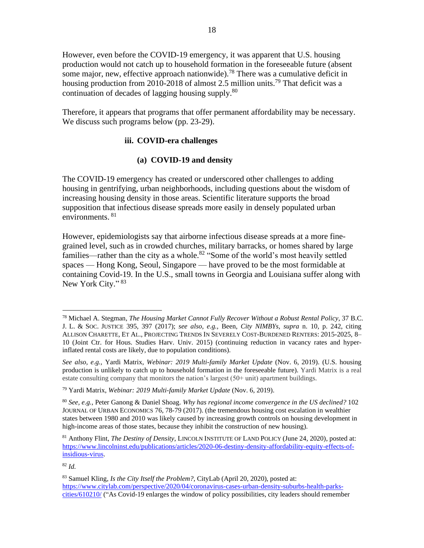However, even before the COVID-19 emergency, it was apparent that U.S. housing production would not catch up to household formation in the foreseeable future (absent some major, new, effective approach nationwide).<sup>78</sup> There was a cumulative deficit in housing production from 2010-2018 of almost 2.5 million units.<sup>79</sup> That deficit was a continuation of decades of lagging housing supply.<sup>80</sup>

Therefore, it appears that programs that offer permanent affordability may be necessary. We discuss such programs below (pp. 23-29).

#### **iii. COVID-era challenges**

## **(a) COVID-19 and density**

The COVID-19 emergency has created or underscored other challenges to adding housing in gentrifying, urban neighborhoods, including questions about the wisdom of increasing housing density in those areas. Scientific literature supports the broad supposition that infectious disease spreads more easily in densely populated urban environments. <sup>81</sup>

However, epidemiologists say that airborne infectious disease spreads at a more finegrained level, such as in crowded churches, military barracks, or homes shared by large families—rather than the city as a whole.<sup>82</sup> "Some of the world's most heavily settled spaces — Hong Kong, Seoul, Singapore — have proved to be the most formidable at containing Covid-19. In the U.S., small towns in Georgia and Louisiana suffer along with New York City."<sup>83</sup>

<sup>78</sup> Michael A. Stegman, *The Housing Market Cannot Fully Recover Without a Robust Rental Policy*, 37 B.C. J. L. & SOC. JUSTICE 395, 397 (2017); *see also, e.g.,* Been, *City NIMBYs, supra* n. 10*,* p. 242, citing ALLISON CHARETTE, ET AL., PROJECTING TRENDS IN SEVERELY COST-BURDENED RENTERS: 2015-2025, 8– 10 (Joint Ctr. for Hous. Studies Harv. Univ. 2015) (continuing reduction in vacancy rates and hyperinflated rental costs are likely, due to population conditions).

*See also, e.g.,* Yardi Matrix, *Webinar: 2019 Multi-family Market Update* (Nov. 6, 2019). (U.S. housing production is unlikely to catch up to household formation in the foreseeable future). Yardi Matrix is a real estate consulting company that monitors the nation's largest (50+ unit) apartment buildings.

<sup>79</sup> Yardi Matrix, *Webinar: 2019 Multi-family Market Update* (Nov. 6, 2019).

<sup>80</sup> *See, e.g.,* Peter Ganong & Daniel Shoag. *Why has regional income convergence in the US declined?* 102 JOURNAL OF URBAN ECONOMICS 76, 78-79 (2017). (the tremendous housing cost escalation in wealthier states between 1980 and 2010 was likely caused by increasing growth controls on housing development in high-income areas of those states, because they inhibit the construction of new housing).

<sup>81</sup> Anthony Flint, *The Destiny of Density*, LINCOLN INSTITUTE OF LAND POLICY (June 24, 2020), posted at: [https://www.lincolninst.edu/publications/articles/2020-06-destiny-density-affordability-equity-effects-of](https://www.lincolninst.edu/publications/articles/2020-06-destiny-density-affordability-equity-effects-of-insidious-virus)[insidious-virus.](https://www.lincolninst.edu/publications/articles/2020-06-destiny-density-affordability-equity-effects-of-insidious-virus)

<sup>83</sup> Samuel Kling, *Is the City Itself the Problem?*, CityLab (April 20, 2020), posted at: [https://www.citylab.com/perspective/2020/04/coronavirus-cases-urban-density-suburbs-health-parks](https://www.citylab.com/perspective/2020/04/coronavirus-cases-urban-density-suburbs-health-parks-cities/610210/)[cities/610210/](https://www.citylab.com/perspective/2020/04/coronavirus-cases-urban-density-suburbs-health-parks-cities/610210/) ("As Covid-19 enlarges the window of policy possibilities, city leaders should remember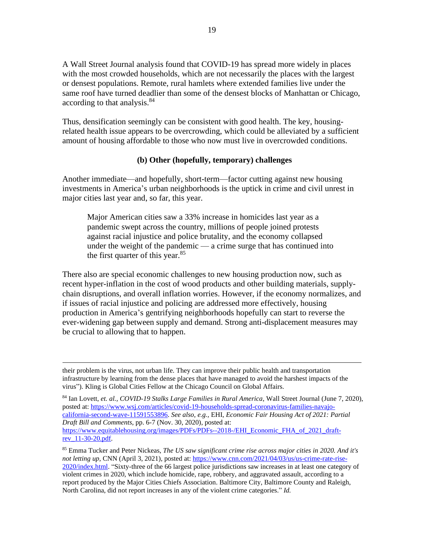A Wall Street Journal analysis found that COVID-19 has spread more widely in places with the most crowded households, which are not necessarily the places with the largest or densest populations. Remote, rural hamlets where extended families live under the same roof have turned deadlier than some of the densest blocks of Manhattan or Chicago, according to that analysis.<sup>84</sup>

Thus, densification seemingly can be consistent with good health. The key, housingrelated health issue appears to be overcrowding, which could be alleviated by a sufficient amount of housing affordable to those who now must live in overcrowded conditions.

#### **(b) Other (hopefully, temporary) challenges**

Another immediate—and hopefully, short-term—factor cutting against new housing investments in America's urban neighborhoods is the uptick in crime and civil unrest in major cities last year and, so far, this year.

Major American cities saw a 33% increase in homicides last year as a pandemic swept across the country, millions of people joined protests against racial injustice and police brutality, and the economy collapsed under the weight of the pandemic — a crime surge that has continued into the first quarter of this year. 85

There also are special economic challenges to new housing production now, such as recent hyper-inflation in the cost of wood products and other building materials, supplychain disruptions, and overall inflation worries. However, if the economy normalizes, and if issues of racial injustice and policing are addressed more effectively, housing production in America's gentrifying neighborhoods hopefully can start to reverse the ever-widening gap between supply and demand. Strong anti-displacement measures may be crucial to allowing that to happen.

<sup>84</sup> Ian Lovett, *et. al., COVID-19 Stalks Large Families in Rural America*, Wall Street Journal (June 7, 2020), posted at: [https://www.wsj.com/articles/covid-19-households-spread-coronavirus-families-navajo](https://www.wsj.com/articles/covid-19-households-spread-coronavirus-families-navajo-california-second-wave-11591553896)[california-second-wave-11591553896.](https://www.wsj.com/articles/covid-19-households-spread-coronavirus-families-navajo-california-second-wave-11591553896) *See also, e.g.,* EHI, *Economic Fair Housing Act of 2021: Partial Draft Bill and Comments*, pp. 6-7 (Nov. 30, 2020), posted at: [https://www.equitablehousing.org/images/PDFs/PDFs--2018-/EHI\\_Economic\\_FHA\\_of\\_2021\\_draft](https://www.equitablehousing.org/images/PDFs/PDFs--2018-/EHI_Economic_FHA_of_2021_draft-rev_11-30-20.pdf)[rev\\_11-30-20.pdf.](https://www.equitablehousing.org/images/PDFs/PDFs--2018-/EHI_Economic_FHA_of_2021_draft-rev_11-30-20.pdf) 

their problem is the virus, not urban life. They can improve their public health and transportation infrastructure by learning from the dense places that have managed to avoid the harshest impacts of the virus"). Kling is Global Cities Fellow at the Chicago Council on Global Affairs.

<sup>85</sup> Emma Tucker and Peter Nickeas, *The US saw significant crime rise across major cities in 2020. And it's not letting up,* CNN (April 3, 2021), posted at: [https://www.cnn.com/2021/04/03/us/us-crime-rate-rise-](https://www.cnn.com/2021/04/03/us/us-crime-rate-rise-2020/index.html)[2020/index.html.](https://www.cnn.com/2021/04/03/us/us-crime-rate-rise-2020/index.html) "Sixty-three of the 66 largest police jurisdictions saw increases in at least one category of violent crimes in 2020, which include homicide, rape, robbery, and aggravated assault, according to a report produced by the Major Cities Chiefs Association. Baltimore City, Baltimore County and Raleigh, North Carolina, did not report increases in any of the violent crime categories." *Id.*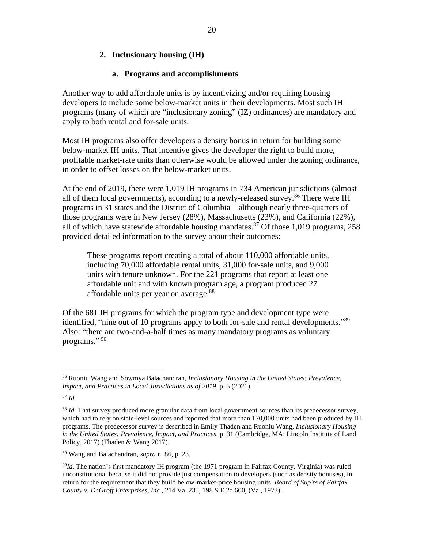#### **2. Inclusionary housing (IH)**

#### **a. Programs and accomplishments**

Another way to add affordable units is by incentivizing and/or requiring housing developers to include some below-market units in their developments. Most such IH programs (many of which are "inclusionary zoning" (IZ) ordinances) are mandatory and apply to both rental and for-sale units.

Most IH programs also offer developers a density bonus in return for building some below-market IH units. That incentive gives the developer the right to build more, profitable market-rate units than otherwise would be allowed under the zoning ordinance, in order to offset losses on the below-market units.

At the end of 2019, there were 1,019 IH programs in 734 American jurisdictions (almost all of them local governments), according to a newly-released survey.<sup>86</sup> There were IH programs in 31 states and the District of Columbia—although nearly three-quarters of those programs were in New Jersey (28%), Massachusetts (23%), and California (22%), all of which have statewide affordable housing mandates.<sup>87</sup> Of those 1,019 programs, 258 provided detailed information to the survey about their outcomes:

These programs report creating a total of about 110,000 affordable units, including 70,000 affordable rental units, 31,000 for-sale units, and 9,000 units with tenure unknown. For the 221 programs that report at least one affordable unit and with known program age, a program produced 27 affordable units per year on average.<sup>88</sup>

Of the 681 IH programs for which the program type and development type were identified, "nine out of 10 programs apply to both for-sale and rental developments."<sup>89</sup> Also: "there are two-and-a-half times as many mandatory programs as voluntary programs."<sup>90</sup>

<sup>86</sup> Ruoniu Wang and Sowmya Balachandran, *Inclusionary Housing in the United States: Prevalence, Impact, and Practices in Local Jurisdictions as of 2019,* p. 5 (2021).

<sup>&</sup>lt;sup>88</sup> *Id.* That survey produced more granular data from local government sources than its predecessor survey, which had to rely on state-level sources and reported that more than 170,000 units had been produced by IH programs. The predecessor survey is described in Emily Thaden and Ruoniu Wang, *Inclusionary Housing in the United States: Prevalence, Impact, and Practices,* p. 31 (Cambridge, MA: Lincoln Institute of Land Policy, 2017) (Thaden & Wang 2017).

<sup>89</sup> Wang and Balachandran, *supra* n. 86, p. 23.

<sup>90</sup>*Id*. The nation's first mandatory IH program (the 1971 program in Fairfax County, Virginia) was ruled unconstitutional because it did not provide just compensation to developers (such as density bonuses), in return for the requirement that they build below-market-price housing units. *Board of Sup'rs of Fairfax County v. DeGroff Enterprises, Inc*., 214 Va. 235, 198 S.E.2d 600, (Va., 1973).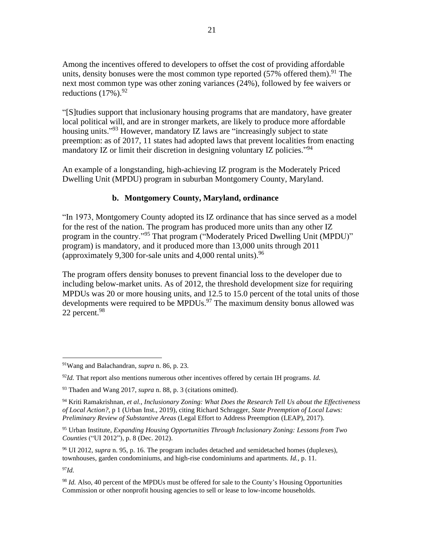Among the incentives offered to developers to offset the cost of providing affordable units, density bonuses were the most common type reported (57% offered them).<sup>91</sup> The next most common type was other zoning variances (24%), followed by fee waivers or reductions  $(17\%)$ . <sup>92</sup>

"[S]tudies support that inclusionary housing programs that are mandatory, have greater local political will, and are in stronger markets, are likely to produce more affordable housing units."<sup>93</sup> However, mandatory IZ laws are "increasingly subject to state preemption: as of 2017, 11 states had adopted laws that prevent localities from enacting mandatory IZ or limit their discretion in designing voluntary IZ policies."<sup>94</sup>

An example of a longstanding, high-achieving IZ program is the Moderately Priced Dwelling Unit (MPDU) program in suburban Montgomery County, Maryland.

#### **b. Montgomery County, Maryland, ordinance**

"In 1973, Montgomery County adopted its IZ ordinance that has since served as a model for the rest of the nation. The program has produced more units than any other IZ program in the country."<sup>95</sup> That program ("Moderately Priced Dwelling Unit (MPDU)" program) is mandatory, and it produced more than 13,000 units through 2011 (approximately 9,300 for-sale units and 4,000 rental units). <sup>96</sup>

The program offers density bonuses to prevent financial loss to the developer due to including below-market units. As of 2012, the threshold development size for requiring MPDUs was 20 or more housing units, and 12.5 to 15.0 percent of the total units of those developments were required to be MPDUs.<sup>97</sup> The maximum density bonus allowed was 22 percent.<sup>98</sup>

<sup>91</sup>Wang and Balachandran, *supra* n. 86, p. 23.

<sup>92</sup>*Id.* That report also mentions numerous other incentives offered by certain IH programs. *Id.* 

<sup>93</sup> Thaden and Wang 2017, *supra* n. 88, p. 3 (citations omitted).

<sup>94</sup> Kriti Ramakrishnan, *et al., Inclusionary Zoning: What Does the Research Tell Us about the Effectiveness of Local Action?*, p 1 (Urban Inst., 2019), citing Richard Schragger, *State Preemption of Local Laws: Preliminary Review of Substantive Areas* (Legal Effort to Address Preemption (LEAP), 2017).

<sup>95</sup> Urban Institute, *Expanding Housing Opportunities Through Inclusionary Zoning: Lessons from Two Counties* ("UI 2012"), p. 8 (Dec. 2012).

<sup>96</sup> UI 2012, *supra* n. 95, p. 16. The program includes detached and semidetached homes (duplexes), townhouses, garden condominiums, and high-rise condominiums and apartments. *Id.,* p. 11.

<sup>98</sup> *Id.* Also, 40 percent of the MPDUs must be offered for sale to the County's Housing Opportunities Commission or other nonprofit housing agencies to sell or lease to low-income households.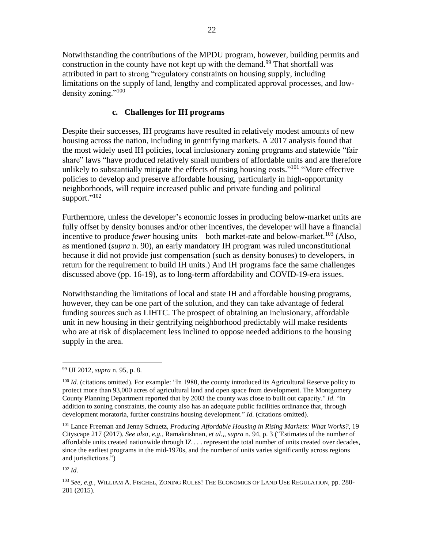Notwithstanding the contributions of the MPDU program, however, building permits and construction in the county have not kept up with the demand.<sup>99</sup> That shortfall was attributed in part to strong "regulatory constraints on housing supply, including limitations on the supply of land, lengthy and complicated approval processes, and lowdensity zoning."<sup>100</sup>

#### **c. Challenges for IH programs**

Despite their successes, IH programs have resulted in relatively modest amounts of new housing across the nation, including in gentrifying markets. A 2017 analysis found that the most widely used IH policies, local inclusionary zoning programs and statewide "fair share" laws "have produced relatively small numbers of affordable units and are therefore unlikely to substantially mitigate the effects of rising housing costs."<sup>101</sup> "More effective policies to develop and preserve affordable housing, particularly in high-opportunity neighborhoods, will require increased public and private funding and political support."<sup>102</sup>

Furthermore, unless the developer's economic losses in producing below-market units are fully offset by density bonuses and/or other incentives, the developer will have a financial incentive to produce *fewer* housing units—both market-rate and below-market.<sup>103</sup> (Also, as mentioned (*supra* n. 90), an early mandatory IH program was ruled unconstitutional because it did not provide just compensation (such as density bonuses) to developers, in return for the requirement to build IH units.) And IH programs face the same challenges discussed above (pp. 16-19), as to long-term affordability and COVID-19-era issues.

Notwithstanding the limitations of local and state IH and affordable housing programs, however, they can be one part of the solution, and they can take advantage of federal funding sources such as LIHTC. The prospect of obtaining an inclusionary, affordable unit in new housing in their gentrifying neighborhood predictably will make residents who are at risk of displacement less inclined to oppose needed additions to the housing supply in the area.

<sup>99</sup> UI 2012, *supra* n. 95, p. 8.

<sup>&</sup>lt;sup>100</sup> *Id.* (citations omitted). For example: "In 1980, the county introduced its Agricultural Reserve policy to protect more than 93,000 acres of agricultural land and open space from development. The Montgomery County Planning Department reported that by 2003 the county was close to built out capacity." *Id.* "In addition to zoning constraints, the county also has an adequate public facilities ordinance that, through development moratoria, further constrains housing development." *Id.* (citations omitted).

<sup>101</sup> Lance Freeman and Jenny Schuetz, *Producing Affordable Housing in Rising Markets: What Works?,* 19 Cityscape 217 (2017). *See also, e.g.,* Ramakrishnan, *et al.,, supra* n. 94, p. 3 ("Estimates of the number of affordable units created nationwide through IZ . . . represent the total number of units created over decades, since the earliest programs in the mid-1970s, and the number of units varies significantly across regions and jurisdictions.")

<sup>103</sup> *See, e.g.,* WILLIAM A. FISCHEL, ZONING RULES! THE ECONOMICS OF LAND USE REGULATION*,* pp. 280- 281 (2015).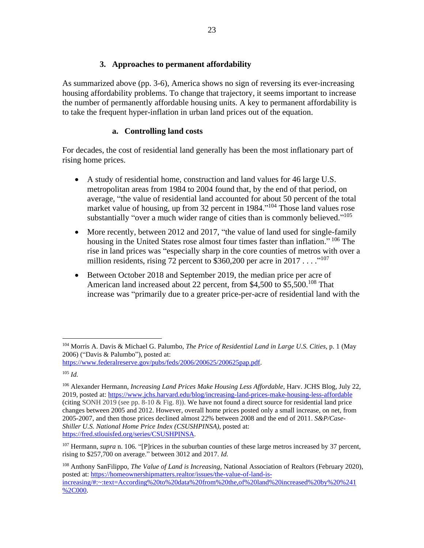#### **3. Approaches to permanent affordability**

As summarized above (pp. 3-6), America shows no sign of reversing its ever-increasing housing affordability problems. To change that trajectory, it seems important to increase the number of permanently affordable housing units. A key to permanent affordability is to take the frequent hyper-inflation in urban land prices out of the equation.

#### **a. Controlling land costs**

For decades, the cost of residential land generally has been the most inflationary part of rising home prices.

- A study of residential home, construction and land values for 46 large U.S. metropolitan areas from 1984 to 2004 found that, by the end of that period, on average, "the value of residential land accounted for about 50 percent of the total market value of housing, up from 32 percent in 1984."<sup>104</sup> Those land values rose substantially "over a much wider range of cities than is commonly believed."<sup>105</sup>
- More recently, between 2012 and 2017, "the value of land used for single-family housing in the United States rose almost four times faster than inflation." <sup>106</sup> The rise in land prices was "especially sharp in the core counties of metros with over a million residents, rising 72 percent to \$360,200 per acre in 2017 . . . . "<sup>107</sup>
- Between October 2018 and September 2019, the median price per acre of American land increased about 22 percent, from \$4,500 to \$5,500.<sup>108</sup> That increase was "primarily due to a greater price-per-acre of residential land with the

<sup>104</sup> Morris A. Davis & Michael G. Palumbo, *The Price of Residential Land in Large U.S. Cities,* p. 1 (May 2006) ("Davis & Palumbo"), posted at:

[https://www.federalreserve.gov/pubs/feds/2006/200625/200625pap.pdf.](https://www.federalreserve.gov/pubs/feds/2006/200625/200625pap.pdf)

 $105$  *Id.* 

<sup>106</sup> Alexander Hermann, *Increasing Land Prices Make Housing Less Affordable*, Harv. JCHS Blog, July 22, 2019, posted at:<https://www.jchs.harvard.edu/blog/increasing-land-prices-make-housing-less-affordable> (citing SONH 2019 (see pp. 8-10 & Fig. 8)). We have not found a direct source for residential land price changes between 2005 and 2012. However, overall home prices posted only a small increase, on net, from 2005-2007, and then those prices declined almost 22% between 2008 and the end of 2011. *S&P/Case-Shiller U.S. National Home Price Index (CSUSHPINSA),* posted at: [https://fred.stlouisfed.org/series/CSUSHPINSA.](https://fred.stlouisfed.org/series/CSUSHPINSA)

<sup>&</sup>lt;sup>107</sup> Hermann, *supra* n. 106. "[P]rices in the suburban counties of these large metros increased by 37 percent, rising to \$257,700 on average." between 3012 and 2017. *Id.* 

<sup>108</sup> Anthony SanFilippo, *The Value of Land is Increasing*, National Association of Realtors (February 2020), posted at: [https://homeownershipmatters.realtor/issues/the-value-of-land-is](https://homeownershipmatters.realtor/issues/the-value-of-land-is-increasing/#:~:text=According%20to%20data%20from%20the,of%20land%20increased%20by%20%241%2C000)[increasing/#:~:text=According%20to%20data%20from%20the,of%20land%20increased%20by%20%241](https://homeownershipmatters.realtor/issues/the-value-of-land-is-increasing/#:~:text=According%20to%20data%20from%20the,of%20land%20increased%20by%20%241%2C000) [%2C000.](https://homeownershipmatters.realtor/issues/the-value-of-land-is-increasing/#:~:text=According%20to%20data%20from%20the,of%20land%20increased%20by%20%241%2C000)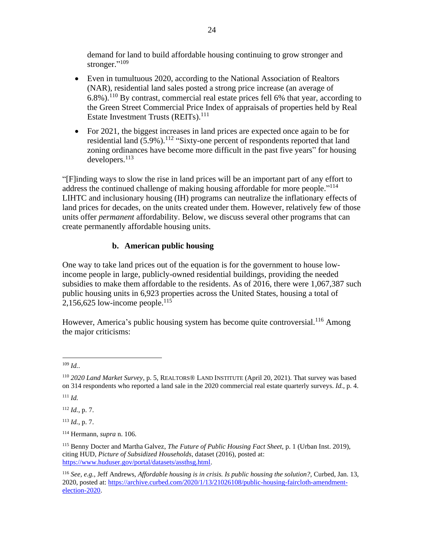demand for land to build affordable housing continuing to grow stronger and stronger."<sup>109</sup>

- Even in tumultuous 2020, according to the National Association of Realtors (NAR), residential land sales posted a strong price increase (an average of  $6.8\%$ ).<sup>110</sup> By contrast, commercial real estate prices fell 6% that year, according to the Green Street Commercial Price Index of appraisals of properties held by Real Estate Investment Trusts (REITs).<sup>111</sup>
- For 2021, the biggest increases in land prices are expected once again to be for residential land  $(5.9\%)$ .<sup>112</sup> "Sixty-one percent of respondents reported that land zoning ordinances have become more difficult in the past five years" for housing developers.<sup>113</sup>

"[F]inding ways to slow the rise in land prices will be an important part of any effort to address the continued challenge of making housing affordable for more people."<sup>114</sup> LIHTC and inclusionary housing (IH) programs can neutralize the inflationary effects of land prices for decades, on the units created under them. However, relatively few of those units offer *permanent* affordability. Below, we discuss several other programs that can create permanently affordable housing units.

## **b. American public housing**

One way to take land prices out of the equation is for the government to house lowincome people in large, publicly-owned residential buildings, providing the needed subsidies to make them affordable to the residents. As of 2016, there were 1,067,387 such public housing units in 6,923 properties across the United States, housing a total of 2,156,625 low-income people. $115$ 

However, America's public housing system has become quite controversial.<sup>116</sup> Among the major criticisms:

<sup>112</sup> *Id.*, p. 7.

<sup>113</sup> *Id.*, p. 7.

<sup>109</sup> *Id.*.

<sup>110</sup> *2020 Land Market Survey*, p. 5, REALTORS® LAND INSTITUTE (April 20, 2021). That survey was based on 314 respondents who reported a land sale in the 2020 commercial real estate quarterly surveys. *Id.,* p. 4.

<sup>111</sup> *Id.*

<sup>114</sup> Hermann, *supra* n. 106.

<sup>115</sup> Benny Docter and Martha Galvez, *The Future of Public Housing Fact Sheet*, p. 1 (Urban Inst. 2019), citing HUD, *Picture of Subsidized Households*, dataset (2016), posted at: [https://www.huduser.gov/portal/datasets/assthsg.html.](https://www.huduser.gov/portal/datasets/assthsg.html)

<sup>116</sup> *See, e.g.,* Jeff Andrews, *Affordable housing is in crisis. Is public housing the solution?*, Curbed, Jan. 13, 2020, posted at: [https://archive.curbed.com/2020/1/13/21026108/public-housing-faircloth-amendment](https://archive.curbed.com/2020/1/13/21026108/public-housing-faircloth-amendment-election-2020)[election-2020.](https://archive.curbed.com/2020/1/13/21026108/public-housing-faircloth-amendment-election-2020)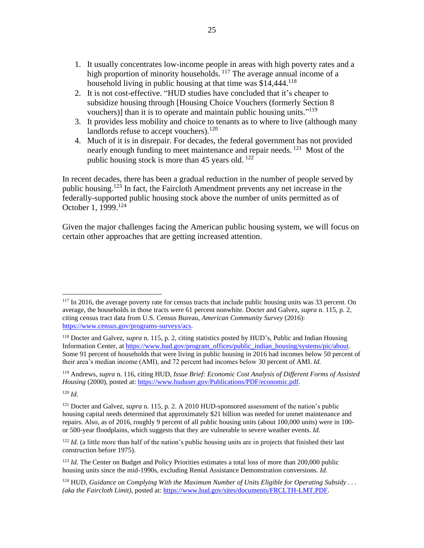- 1. It usually concentrates low-income people in areas with high poverty rates and a high proportion of minority households. <sup>117</sup> The average annual income of a household living in public housing at that time was \$14,444.<sup>118</sup>
- 2. It is not cost-effective. "HUD studies have concluded that it's cheaper to subsidize housing through [Housing Choice Vouchers (formerly Section 8 vouchers)] than it is to operate and maintain public housing units."<sup>119</sup>
- 3. It provides less mobility and choice to tenants as to where to live (although many landlords refuse to accept vouchers).<sup>120</sup>
- 4. Much of it is in disrepair. For decades, the federal government has not provided nearly enough funding to meet maintenance and repair needs.<sup>121</sup> Most of the public housing stock is more than 45 years old.  $^{122}$

In recent decades, there has been a gradual reduction in the number of people served by public housing.<sup>123</sup> In fact, the Faircloth Amendment prevents any net increase in the federally-supported public housing stock above the number of units permitted as of October 1, 1999.<sup>124</sup>

Given the major challenges facing the American public housing system, we will focus on certain other approaches that are getting increased attention.

<sup>&</sup>lt;sup>117</sup> In 2016, the average poverty rate for census tracts that include public housing units was 33 percent. On average, the households in those tracts were 61 percent nonwhite. Docter and Galvez, *supra* n. 115, p. 2, citing census tract data from U.S. Census Bureau, *American Community Survey* (2016): [https://www.census.gov/programs-surveys/acs.](https://www.census.gov/programs-surveys/acs)

<sup>118</sup> Docter and Galvez, *supra* n. 115, p. 2, citing statistics posted by HUD's, Public and Indian Housing Information Center, a[t https://www.hud.gov/program\\_offices/public\\_indian\\_housing/systems/pic/about.](https://www.hud.gov/program_offices/public_indian_housing/systems/pic/about) Some 91 percent of households that were living in public housing in 2016 had incomes below 50 percent of their area's median income (AMI), and 72 percent had incomes below 30 percent of AMI. *Id.* 

<sup>119</sup> Andrews, *supra* n. 116, citing HUD, *Issue Brief: Economic Cost Analysis of Different Forms of Assisted Housing* (2000), posted at: [https://www.huduser.gov/Publications/PDF/economic.pdf.](https://www.huduser.gov/Publications/PDF/economic.pdf)

 $120$  *Id.* 

<sup>&</sup>lt;sup>121</sup> Docter and Galvez, *supra* n. 115, p. 2. A 2010 HUD-sponsored assessment of the nation's public housing capital needs determined that approximately \$21 billion was needed for unmet maintenance and repairs. Also, as of 2016, roughly 9 percent of all public housing units (about 100,000 units) were in 100 or 500-year floodplains, which suggests that they are vulnerable to severe weather events. *Id.*

<sup>&</sup>lt;sup>122</sup> *Id.* (a little more than half of the nation's public housing units are in projects that finished their last construction before 1975).

<sup>&</sup>lt;sup>123</sup> *Id.* The Center on Budget and Policy Priorities estimates a total loss of more than 200,000 public housing units since the mid-1990s, excluding Rental Assistance Demonstration conversions. *Id.*

<sup>124</sup> HUD, *Guidance on Complying With the Maximum Number of Units Eligible for Operating Subsidy . . . (aka the Faircloth Limit),* posted at: [https://www.hud.gov/sites/documents/FRCLTH-LMT.PDF.](https://www.hud.gov/sites/documents/FRCLTH-LMT.PDF)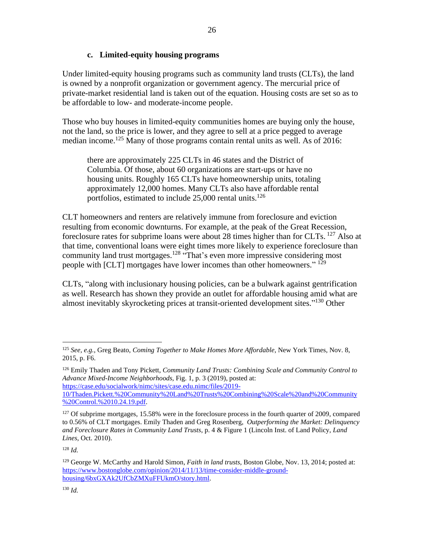#### **c. Limited-equity housing programs**

Under limited-equity housing programs such as community land trusts (CLTs), the land is owned by a nonprofit organization or government agency. The mercurial price of private-market residential land is taken out of the equation. Housing costs are set so as to be affordable to low- and moderate-income people.

Those who buy houses in limited-equity communities homes are buying only the house, not the land, so the price is lower, and they agree to sell at a price pegged to average median income.<sup>125</sup> Many of those programs contain rental units as well. As of 2016:

there are approximately 225 CLTs in 46 states and the District of Columbia. Of those, about 60 organizations are start-ups or have no housing units. Roughly 165 CLTs have homeownership units, totaling approximately 12,000 homes. Many CLTs also have affordable rental portfolios, estimated to include  $25,000$  rental units.<sup>126</sup>

CLT homeowners and renters are relatively immune from foreclosure and eviction resulting from economic downturns. For example, at the peak of the Great Recession, foreclosure rates for subprime loans were about 28 times higher than for CLTs. <sup>127</sup> Also at that time, conventional loans were eight times more likely to experience foreclosure than community land trust mortgages.<sup>128</sup> "That's even more impressive considering most people with [CLT] mortgages have lower incomes than other homeowners."<sup>129</sup>

CLTs, "along with inclusionary housing policies, can be a bulwark against gentrification as well. Research has shown they provide an outlet for affordable housing amid what are almost inevitably skyrocketing prices at transit-oriented development sites."<sup>130</sup> Other

[https://case.edu/socialwork/nimc/sites/case.edu.nimc/files/2019-](https://case.edu/socialwork/nimc/sites/case.edu.nimc/files/2019-10/Thaden.Pickett.%20Community%20Land%20Trusts%20Combining%20Scale%20and%20Community%20Control.%2010.24.19.pdf) [10/Thaden.Pickett.%20Community%20Land%20Trusts%20Combining%20Scale%20and%20Community](https://case.edu/socialwork/nimc/sites/case.edu.nimc/files/2019-10/Thaden.Pickett.%20Community%20Land%20Trusts%20Combining%20Scale%20and%20Community%20Control.%2010.24.19.pdf) [%20Control.%2010.24.19.pdf.](https://case.edu/socialwork/nimc/sites/case.edu.nimc/files/2019-10/Thaden.Pickett.%20Community%20Land%20Trusts%20Combining%20Scale%20and%20Community%20Control.%2010.24.19.pdf)

<sup>125</sup> *See, e.g.,* Greg Beato, *Coming Together to Make Homes More Affordable*, New York Times, Nov. 8, 2015, p. F6.

<sup>126</sup> Emily Thaden and Tony Pickett, *Community Land Trusts: Combining Scale and Community Control to Advance Mixed-Income Neighborhoods,* Fig. 1, p. 3 (2019), posted at:

<sup>&</sup>lt;sup>127</sup> Of subprime mortgages, 15.58% were in the foreclosure process in the fourth quarter of 2009, compared to 0.56% of CLT mortgages. Emily Thaden and Greg Rosenberg, *Outperforming the Market: Delinquency and Foreclosure Rates in Community Land Trusts*, p. 4 & Figure 1 (Lincoln Inst. of Land Policy, *Land Lines,* Oct. 2010).

<sup>128</sup> *Id.* 

<sup>129</sup> George W. McCarthy and Harold Simon, *Faith in land trusts,* Boston Globe, Nov. 13, 2014; posted at: [https://www.bostonglobe.com/opinion/2014/11/13/time-consider-middle-ground](https://www.bostonglobe.com/opinion/2014/11/13/time-consider-middle-ground-housing/6bxGXAk2UfCbZMXuFFUkmO/story.html)[housing/6bxGXAk2UfCbZMXuFFUkmO/story.html.](https://www.bostonglobe.com/opinion/2014/11/13/time-consider-middle-ground-housing/6bxGXAk2UfCbZMXuFFUkmO/story.html)

<sup>130</sup> *Id.*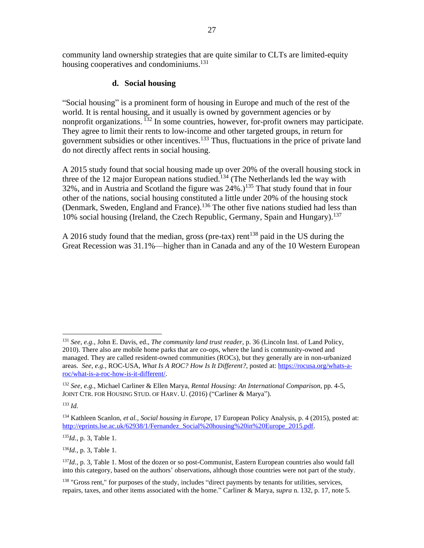community land ownership strategies that are quite similar to CLTs are limited-equity housing cooperatives and condominiums.<sup>131</sup>

#### **d. Social housing**

"Social housing" is a prominent form of housing in Europe and much of the rest of the world. It is rental housing, and it usually is owned by government agencies or by nonprofit organizations. <sup>132</sup> In some countries, however, for-profit owners may participate. They agree to limit their rents to low-income and other targeted groups, in return for government subsidies or other incentives.<sup>133</sup> Thus, fluctuations in the price of private land do not directly affect rents in social housing.

A 2015 study found that social housing made up over 20% of the overall housing stock in three of the 12 major European nations studied.<sup>134</sup> (The Netherlands led the way with 32%, and in Austria and Scotland the figure was  $24\%$ .)<sup>135</sup> That study found that in four other of the nations, social housing constituted a little under 20% of the housing stock (Denmark, Sweden, England and France).<sup>136</sup> The other five nations studied had less than 10% social housing (Ireland, the Czech Republic, Germany, Spain and Hungary). 137

A 2016 study found that the median, gross (pre-tax) rent<sup>138</sup> paid in the US during the Great Recession was 31.1%—higher than in Canada and any of the 10 Western European

 $133$  *Id.* 

<sup>135</sup>*Id.*, p. 3, Table 1.

<sup>136</sup>*Id.*, p. 3, Table 1.

<sup>138</sup> "Gross rent," for purposes of the study, includes "direct payments by tenants for utilities, services, repairs, taxes, and other items associated with the home." Carliner & Marya, *supra* n. 132, p. 17, note 5.

<sup>131</sup> *See, e.g.,* John E. Davis, ed., *The community land trust reader,* p. 36 (Lincoln Inst. of Land Policy, 2010). There also are mobile home parks that are co-ops, where the land is community-owned and managed. They are called resident-owned communities (ROCs), but they generally are in non-urbanized areas. *See, e.g.,* ROC-USA, *What Is A ROC? How Is It Different?*, posted at[: https://rocusa.org/whats-a](https://rocusa.org/whats-a-roc/what-is-a-roc-how-is-it-different/)[roc/what-is-a-roc-how-is-it-different/.](https://rocusa.org/whats-a-roc/what-is-a-roc-how-is-it-different/)

<sup>132</sup> *See, e.g.,* Michael Carliner & Ellen Marya, *Rental Housing: An International Comparison*, pp. 4-5, JOINT CTR. FOR HOUSING STUD. OF HARV. U. (2016) ("Carliner & Marya").

<sup>134</sup> Kathleen Scanlon, *et al., Social housing in Europe*, 17 European Policy Analysis, p. 4 (2015), posted at: [http://eprints.lse.ac.uk/62938/1/Fernandez\\_Social%20housing%20in%20Europe\\_2015.pdf.](http://eprints.lse.ac.uk/62938/1/Fernandez_Social%20housing%20in%20Europe_2015.pdf)

<sup>137</sup>*Id.*, p. 3, Table 1. Most of the dozen or so post-Communist, Eastern European countries also would fall into this category, based on the authors' observations, although those countries were not part of the study.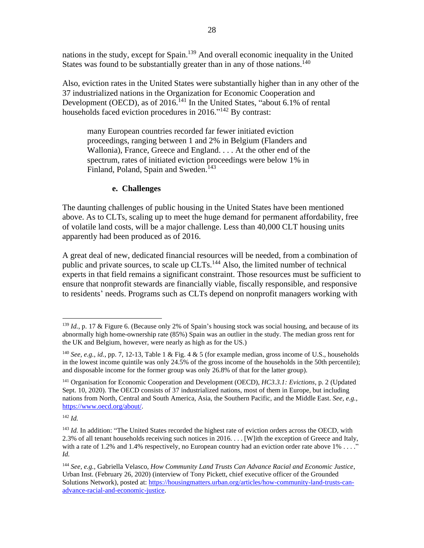nations in the study, except for Spain.<sup>139</sup> And overall economic inequality in the United States was found to be substantially greater than in any of those nations.<sup>140</sup>

Also, eviction rates in the United States were substantially higher than in any other of the 37 industrialized nations in the Organization for Economic Cooperation and Development (OECD), as of 2016.<sup>141</sup> In the United States, "about 6.1% of rental households faced eviction procedures in 2016."<sup>142</sup> By contrast:

many European countries recorded far fewer initiated eviction proceedings, ranging between 1 and 2% in Belgium (Flanders and Wallonia), France, Greece and England. . . . At the other end of the spectrum, rates of initiated eviction proceedings were below 1% in Finland, Poland, Spain and Sweden.<sup>143</sup>

#### **e. Challenges**

The daunting challenges of public housing in the United States have been mentioned above. As to CLTs, scaling up to meet the huge demand for permanent affordability, free of volatile land costs, will be a major challenge. Less than 40,000 CLT housing units apparently had been produced as of 2016.

A great deal of new, dedicated financial resources will be needed, from a combination of public and private sources, to scale up CLTs.<sup>144</sup> Also, the limited number of technical experts in that field remains a significant constraint. Those resources must be sufficient to ensure that nonprofit stewards are financially viable, fiscally responsible, and responsive to residents' needs. Programs such as CLTs depend on nonprofit managers working with

<sup>&</sup>lt;sup>139</sup> *Id.*, p. 17 & Figure 6. (Because only 2% of Spain's housing stock was social housing, and because of its abnormally high home-ownership rate (85%) Spain was an outlier in the study. The median gross rent for the UK and Belgium, however, were nearly as high as for the US.)

<sup>140</sup> *See, e.g., id.*, pp. 7, 12-13, Table 1 & Fig. 4 & 5 (for example median, gross income of U.S., households in the lowest income quintile was only 24.5% of the gross income of the households in the 50th percentile); and disposable income for the former group was only 26.8% of that for the latter group).

<sup>141</sup> Organisation for Economic Cooperation and Development (OECD), *HC3.3.1: Evictions*, p. 2 (Updated Sept. 10, 2020). The OECD consists of 37 industrialized nations, most of them in Europe, but including nations from North, Central and South America, Asia, the Southern Pacific, and the Middle East. *See, e.g.*, [https://www.oecd.org/about/.](https://www.oecd.org/about/)

<sup>&</sup>lt;sup>143</sup> *Id.* In addition: "The United States recorded the highest rate of eviction orders across the OECD, with 2.3% of all tenant households receiving such notices in 2016. . . . [W]ith the exception of Greece and Italy, with a rate of 1.2% and 1.4% respectively, no European country had an eviction order rate above 1% . . . ." *Id.*

<sup>144</sup> *See, e.g.,* Gabriella Velasco, *How Community Land Trusts Can Advance Racial and Economic Justice*, Urban Inst. (February 26, 2020) (interview of Tony Pickett, chief executive officer of the Grounded Solutions Network), posted at[: https://housingmatters.urban.org/articles/how-community-land-trusts-can](https://housingmatters.urban.org/articles/how-community-land-trusts-can-advance-racial-and-economic-justice)[advance-racial-and-economic-justice.](https://housingmatters.urban.org/articles/how-community-land-trusts-can-advance-racial-and-economic-justice)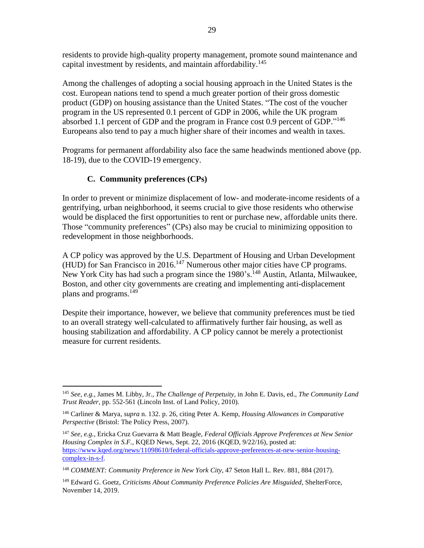residents to provide high-quality property management, promote sound maintenance and capital investment by residents, and maintain affordability.<sup>145</sup>

Among the challenges of adopting a social housing approach in the United States is the cost. European nations tend to spend a much greater portion of their gross domestic product (GDP) on housing assistance than the United States. "The cost of the voucher program in the US represented 0.1 percent of GDP in 2006, while the UK program absorbed 1.1 percent of GDP and the program in France cost 0.9 percent of GDP."<sup>146</sup> Europeans also tend to pay a much higher share of their incomes and wealth in taxes.

Programs for permanent affordability also face the same headwinds mentioned above (pp. 18-19), due to the COVID-19 emergency.

## **C. Community preferences (CPs)**

In order to prevent or minimize displacement of low- and moderate-income residents of a gentrifying, urban neighborhood, it seems crucial to give those residents who otherwise would be displaced the first opportunities to rent or purchase new, affordable units there. Those "community preferences" (CPs) also may be crucial to minimizing opposition to redevelopment in those neighborhoods.

A CP policy was approved by the U.S. Department of Housing and Urban Development (HUD) for San Francisco in 2016.<sup>147</sup> Numerous other major cities have CP programs. New York City has had such a program since the 1980's.<sup>148</sup> Austin, Atlanta, Milwaukee, Boston, and other city governments are creating and implementing anti-displacement plans and programs.<sup>149</sup>

Despite their importance, however, we believe that community preferences must be tied to an overall strategy well-calculated to affirmatively further fair housing, as well as housing stabilization and affordability. A CP policy cannot be merely a protectionist measure for current residents.

<sup>145</sup> *See, e.g.,* James M. Libby, Jr., *The Challenge of Perpetuity,* in John E. Davis, ed., *The Community Land Trust Reader,* pp. 552-561 (Lincoln Inst. of Land Policy, 2010).

<sup>146</sup> Carliner & Marya, *supra* n. 132. p. 26, citing Peter A. Kemp, *Housing Allowances in Comparative Perspective* (Bristol: The Policy Press, 2007).

<sup>147</sup> *See, e.g.,* Ericka Cruz Guevarra & Matt Beagle, *Federal Officials Approve Preferences at New Senior Housing Complex in S.F.,* KQED News, Sept. 22, 2016 (KQED, 9/22/16), posted at: [https://www.kqed.org/news/11098610/federal-officials-approve-preferences-at-new-senior-housing](https://www.kqed.org/news/11098610/federal-officials-approve-preferences-at-new-senior-housing-complex-in-s-f)[complex-in-s-f.](https://www.kqed.org/news/11098610/federal-officials-approve-preferences-at-new-senior-housing-complex-in-s-f)

<sup>148</sup> *COMMENT: Community Preference in New York City*, 47 Seton Hall L. Rev. 881, 884 (2017).

<sup>149</sup> Edward G. Goetz, *Criticisms About Community Preference Policies Are Misguided*, ShelterForce, November 14, 2019.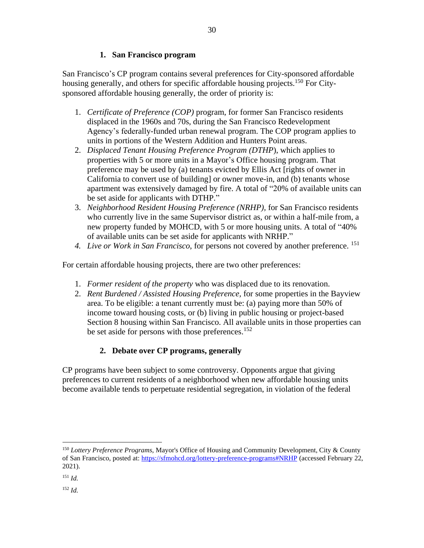#### **1. San Francisco program**

San Francisco's CP program contains several preferences for City-sponsored affordable housing generally, and others for specific affordable housing projects.<sup>150</sup> For Citysponsored affordable housing generally, the order of priority is:

- 1. *Certificate of Preference (COP)* program, for former San Francisco residents displaced in the 1960s and 70s, during the San Francisco Redevelopment Agency's federally-funded urban renewal program. The COP program applies to units in portions of the Western Addition and Hunters Point areas.
- 2. *Displaced Tenant Housing Preference Program (DTHP*), which applies to properties with 5 or more units in a Mayor's Office housing program. That preference may be used by (a) tenants evicted by Ellis Act [rights of owner in California to convert use of building] or owner move-in, and (b) tenants whose apartment was extensively damaged by fire. A total of "20% of available units can be set aside for applicants with DTHP."
- 3. *Neighborhood Resident Housing Preference (NRHP),* for San Francisco residents who currently live in the same Supervisor district as, or within a half-mile from, a new property funded by MOHCD, with 5 or more housing units. A total of "40% of available units can be set aside for applicants with NRHP."
- *4. Live or Work in San Francisco*, for persons not covered by another preference. <sup>151</sup>

For certain affordable housing projects, there are two other preferences:

- 1. *Former resident of the property* who was displaced due to its renovation.
- 2. *Rent Burdened / Assisted Housing Preference,* for some properties in the Bayview area. To be eligible: a tenant currently must be: (a) paying more than 50% of income toward housing costs, or (b) living in public housing or project-based Section 8 housing within San Francisco. All available units in those properties can be set aside for persons with those preferences.<sup>152</sup>

## **2. Debate over CP programs, generally**

CP programs have been subject to some controversy. Opponents argue that giving preferences to current residents of a neighborhood when new affordable housing units become available tends to perpetuate residential segregation, in violation of the federal

<sup>150</sup> *Lottery Preference Programs*, Mayor's Office of Housing and Community Development, City & County of San Francisco, posted at: <https://sfmohcd.org/lottery-preference-programs#NRHP> (accessed February 22, 2021).

<sup>151</sup> *Id.*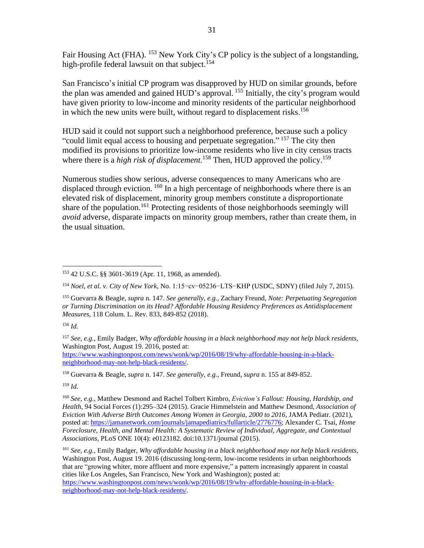Fair Housing Act (FHA). <sup>153</sup> New York City's CP policy is the subject of a longstanding, high-profile federal lawsuit on that subject.<sup>154</sup>

San Francisco's initial CP program was disapproved by HUD on similar grounds, before the plan was amended and gained HUD's approval. <sup>155</sup> Initially, the city's program would have given priority to low-income and minority residents of the particular neighborhood in which the new units were built, without regard to displacement risks. 156

HUD said it could not support such a neighborhood preference, because such a policy "could limit equal access to housing and perpetuate segregation."<sup>157</sup> The city then modified its provisions to prioritize low-income residents who live in city census tracts where there is a *high risk of displacement*.<sup>158</sup> Then, HUD approved the policy.<sup>159</sup>

Numerous studies show serious, adverse consequences to many Americans who are displaced through eviction. <sup>160</sup> In a high percentage of neighborhoods where there is an elevated risk of displacement, minority group members constitute a disproportionate share of the population.<sup>161</sup> Protecting residents of those neighborhoods seemingly will *avoid* adverse, disparate impacts on minority group members, rather than create them, in the usual situation.

<sup>156</sup> *Id.* 

<sup>153</sup> 42 U.S.C. §§ 3601-3619 (Apr. 11, 1968, as amended).

<sup>154</sup> *Noel, et al. v. City of New York*, No. 1:15−cv−05236−LTS−KHP (USDC, SDNY) (filed July 7, 2015).

<sup>155</sup> Guevarra & Beagle, *supra* n. 147. *See generally, e.g.,* Zachary Freund, *Note: Perpetuating Segregation or Turning Discrimination on its Head? Affordable Housing Residency Preferences as Antidisplacement Measures*, 118 Colum. L. Rev. 833, 849-852 (2018).

<sup>157</sup> *See, e.g.,* Emily Badger, *Why affordable housing in a black neighborhood may not help black residents,* Washington Post, August 19. 2016, posted at: [https://www.washingtonpost.com/news/wonk/wp/2016/08/19/why-affordable-housing-in-a-black](https://www.washingtonpost.com/news/wonk/wp/2016/08/19/why-affordable-housing-in-a-black-neighborhood-may-not-help-black-residents/)[neighborhood-may-not-help-black-residents/.](https://www.washingtonpost.com/news/wonk/wp/2016/08/19/why-affordable-housing-in-a-black-neighborhood-may-not-help-black-residents/)

<sup>158</sup> Guevarra & Beagle, *supra* n. 147. *See generally, e.g.,* Freund, *supra* n. 155 at 849-852.

<sup>160</sup> *See, e.g.,* Matthew Desmond and Rachel Tolbert Kimbro, *Eviction's Fallout: Housing, Hardship, and Health*, 94 Social Forces (1):295–324 (2015). Gracie Himmelstein and Matthew Desmond, *Association of Eviction With Adverse Birth Outcomes Among Women in Georgia, 2000 to 2016,* JAMA Pediatr. (2021), posted at: [https://jamanetwork.com/journals/jamapediatrics/fullarticle/2776776;](https://jamanetwork.com/journals/jamapediatrics/fullarticle/2776776) Alexander C. Tsai, *Home Foreclosure, Health, and Mental Health: A Systematic Review of Individual, Aggregate, and Contextual Associations*, PLoS ONE 10(4): e0123182. doi:10.1371/journal (2015).

<sup>161</sup> *See, e.g.,* Emily Badger, *Why affordable housing in a black neighborhood may not help black residents,*  Washington Post, August 19. 2016 (discussing long-term, low-income residents in urban neighborhoods that are "growing whiter, more affluent and more expensive," a pattern increasingly apparent in coastal cities like Los Angeles, San Francisco, New York and Washington); posted at:

[https://www.washingtonpost.com/news/wonk/wp/2016/08/19/why-affordable-housing-in-a-black](https://www.washingtonpost.com/news/wonk/wp/2016/08/19/why-affordable-housing-in-a-black-neighborhood-may-not-help-black-residents/)[neighborhood-may-not-help-black-residents/.](https://www.washingtonpost.com/news/wonk/wp/2016/08/19/why-affordable-housing-in-a-black-neighborhood-may-not-help-black-residents/)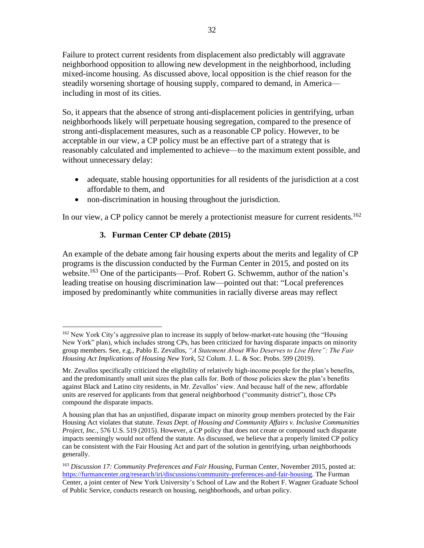Failure to protect current residents from displacement also predictably will aggravate neighborhood opposition to allowing new development in the neighborhood, including mixed-income housing. As discussed above, local opposition is the chief reason for the steadily worsening shortage of housing supply, compared to demand, in America including in most of its cities.

So, it appears that the absence of strong anti-displacement policies in gentrifying, urban neighborhoods likely will perpetuate housing segregation, compared to the presence of strong anti-displacement measures, such as a reasonable CP policy. However, to be acceptable in our view, a CP policy must be an effective part of a strategy that is reasonably calculated and implemented to achieve—to the maximum extent possible, and without unnecessary delay:

- adequate, stable housing opportunities for all residents of the jurisdiction at a cost affordable to them, and
- non-discrimination in housing throughout the jurisdiction.

In our view, a CP policy cannot be merely a protectionist measure for current residents.<sup>162</sup>

## **3. Furman Center CP debate (2015)**

An example of the debate among fair housing experts about the merits and legality of CP programs is the discussion conducted by the Furman Center in 2015, and posted on its website.<sup>163</sup> One of the participants—Prof. Robert G. Schwemm, author of the nation's leading treatise on housing discrimination law—pointed out that: "Local preferences imposed by predominantly white communities in racially diverse areas may reflect

<sup>&</sup>lt;sup>162</sup> New York City's aggressive plan to increase its supply of below-market-rate housing (the "Housing New York" plan), which includes strong CPs, has been criticized for having disparate impacts on minority group members. See, e.g., Pablo E. Zevallos, *"A Statement About Who Deserves to Live Here": The Fair Housing Act Implications of Housing New York*, 52 Colum. J. L. & Soc. Probs. 599 (2019).

Mr. Zevallos specifically criticized the eligibility of relatively high-income people for the plan's benefits, and the predominantly small unit sizes the plan calls for. Both of those policies skew the plan's benefits against Black and Latino city residents, in Mr. Zevallos' view. And because half of the new, affordable units are reserved for applicants from that general neighborhood ("community district"), those CPs compound the disparate impacts.

A housing plan that has an unjustified, disparate impact on minority group members protected by the Fair Housing Act violates that statute. *Texas Dept. of Housing and Community Affairs v. Inclusive Communities Project, Inc.*, 576 U.S. 519 (2015). However, a CP policy that does not create or compound such disparate impacts seemingly would not offend the statute. As discussed, we believe that a properly limited CP policy can be consistent with the Fair Housing Act and part of the solution in gentrifying, urban neighborhoods generally.

<sup>163</sup> *Discussion 17: Community Preferences and Fair Housing,* Furman Center, November 2015, posted at: [https://furmancenter.org/research/iri/discussions/community-preferences-and-fair-housing.](https://furmancenter.org/research/iri/discussions/community-preferences-and-fair-housing) The Furman Center, a joint center of New York University's School of Law and the Robert F. Wagner Graduate School of Public Service, conducts research on housing, neighborhoods, and urban policy.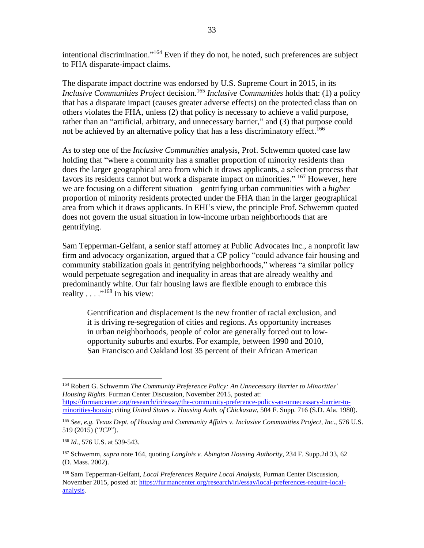intentional discrimination."<sup>164</sup> Even if they do not, he noted, such preferences are subject to FHA disparate-impact claims.

The disparate impact doctrine was endorsed by U.S. Supreme Court in 2015, in its *Inclusive Communities Project* decision. <sup>165</sup> *Inclusive Communities* holds that: (1) a policy that has a disparate impact (causes greater adverse effects) on the protected class than on others violates the FHA, unless (2) that policy is necessary to achieve a valid purpose, rather than an "artificial, arbitrary, and unnecessary barrier," and (3) that purpose could not be achieved by an alternative policy that has a less discriminatory effect.<sup>166</sup>

As to step one of the *Inclusive Communities* analysis, Prof. Schwemm quoted case law holding that "where a community has a smaller proportion of minority residents than does the larger geographical area from which it draws applicants, a selection process that favors its residents cannot but work a disparate impact on minorities." <sup>167</sup> However, here we are focusing on a different situation—gentrifying urban communities with a *higher* proportion of minority residents protected under the FHA than in the larger geographical area from which it draws applicants. In EHI's view, the principle Prof. Schwemm quoted does not govern the usual situation in low-income urban neighborhoods that are gentrifying.

Sam Tepperman-Gelfant, a senior staff attorney at Public Advocates Inc., a nonprofit law firm and advocacy organization, argued that a CP policy "could advance fair housing and community stabilization goals in gentrifying neighborhoods," whereas "a similar policy would perpetuate segregation and inequality in areas that are already wealthy and predominantly white. Our fair housing laws are flexible enough to embrace this reality  $\dots$ ."<sup>168</sup> In his view:

Gentrification and displacement is the new frontier of racial exclusion, and it is driving re-segregation of cities and regions. As opportunity increases in urban neighborhoods, people of color are generally forced out to lowopportunity suburbs and exurbs. For example, between 1990 and 2010, San Francisco and Oakland lost 35 percent of their African American

<sup>164</sup> Robert G. Schwemm *The Community Preference Policy: An Unnecessary Barrier to Minorities' Housing Rights*. Furman Center Discussion, November 2015, posted at: [https://furmancenter.org/research/iri/essay/the-community-preference-policy-an-unnecessary-barrier-to-](https://furmancenter.org/research/iri/essay/the-community-preference-policy-an-unnecessary-barrier-to-minorities-housin)

[minorities-housin;](https://furmancenter.org/research/iri/essay/the-community-preference-policy-an-unnecessary-barrier-to-minorities-housin) citing *United States v. Housing Auth. of Chickasaw*, 504 F. Supp. 716 (S.D. Ala. 1980).

<sup>165</sup> *See, e.g. Texas Dept. of Housing and Community Affairs v. Inclusive Communities Project, Inc*., 576 U.S. 519 (2015) ("*ICP*").

<sup>166</sup> *Id.,* 576 U.S. at 539-543.

<sup>167</sup> Schwemm, *supra* note 164, quoting *Langlois v. Abington Housing Authority*, 234 F. Supp.2d 33, 62 (D. Mass. 2002).

<sup>168</sup> Sam Tepperman-Gelfant, *Local Preferences Require Local Analysis,* Furman Center Discussion, November 2015, posted at: [https://furmancenter.org/research/iri/essay/local-preferences-require-local](https://furmancenter.org/research/iri/essay/local-preferences-require-local-analysis)[analysis.](https://furmancenter.org/research/iri/essay/local-preferences-require-local-analysis)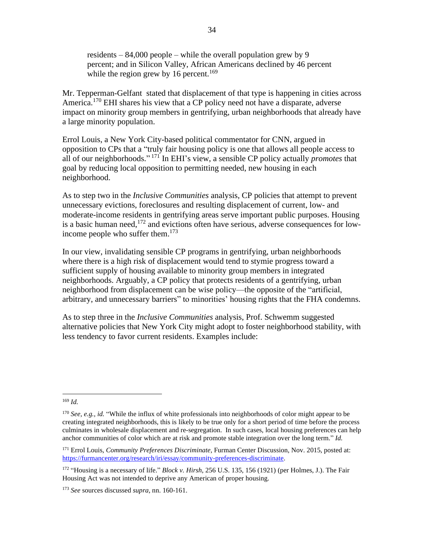residents – 84,000 people – while the overall population grew by 9 percent; and in Silicon Valley, African Americans declined by 46 percent while the region grew by 16 percent.<sup>169</sup>

Mr. Tepperman-Gelfant stated that displacement of that type is happening in cities across America.<sup>170</sup> EHI shares his view that a CP policy need not have a disparate, adverse impact on minority group members in gentrifying, urban neighborhoods that already have a large minority population.

Errol Louis, a New York City-based political commentator for CNN, argued in opposition to CPs that a "truly fair housing policy is one that allows all people access to all of our neighborhoods." <sup>171</sup> In EHI's view, a sensible CP policy actually *promotes* that goal by reducing local opposition to permitting needed, new housing in each neighborhood.

As to step two in the *Inclusive Communities* analysis, CP policies that attempt to prevent unnecessary evictions, foreclosures and resulting displacement of current, low- and moderate-income residents in gentrifying areas serve important public purposes. Housing is a basic human need, <sup>172</sup> and evictions often have serious, adverse consequences for lowincome people who suffer them.<sup>173</sup>

In our view, invalidating sensible CP programs in gentrifying, urban neighborhoods where there is a high risk of displacement would tend to stymie progress toward a sufficient supply of housing available to minority group members in integrated neighborhoods. Arguably, a CP policy that protects residents of a gentrifying, urban neighborhood from displacement can be wise policy—the opposite of the "artificial, arbitrary, and unnecessary barriers" to minorities' housing rights that the FHA condemns.

As to step three in the *Inclusive Communities* analysis, Prof. Schwemm suggested alternative policies that New York City might adopt to foster neighborhood stability, with less tendency to favor current residents. Examples include:

<sup>169</sup> *Id.*

<sup>170</sup> *See, e.g., id.* "While the influx of white professionals into neighborhoods of color might appear to be creating integrated neighborhoods, this is likely to be true only for a short period of time before the process culminates in wholesale displacement and re-segregation. In such cases, local housing preferences can help anchor communities of color which are at risk and promote stable integration over the long term." *Id.*

<sup>171</sup> Errol Louis, *Community Preferences Discriminate*, Furman Center Discussion, Nov. 2015, posted at: [https://furmancenter.org/research/iri/essay/community-preferences-discriminate.](https://furmancenter.org/research/iri/essay/community-preferences-discriminate)

<sup>172</sup> "Housing is a necessary of life." *Block v. Hirsh*, 256 U.S. 135, 156 (1921) (per Holmes, J.). The Fair Housing Act was not intended to deprive any American of proper housing.

<sup>173</sup> *See* sources discussed *supra,* nn. 160-161.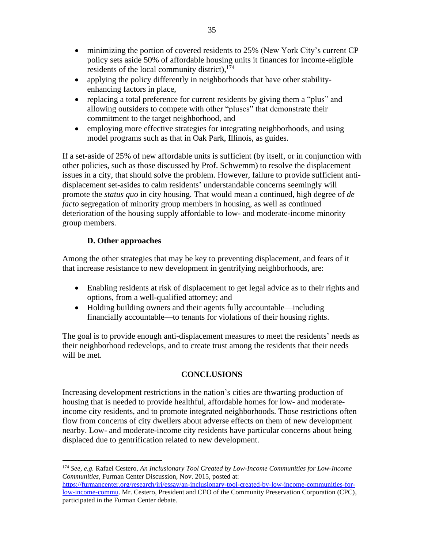- minimizing the portion of covered residents to 25% (New York City's current CP policy sets aside 50% of affordable housing units it finances for income-eligible residents of the local community district),<sup>174</sup>
- applying the policy differently in neighborhoods that have other stabilityenhancing factors in place,
- replacing a total preference for current residents by giving them a "plus" and allowing outsiders to compete with other "pluses" that demonstrate their commitment to the target neighborhood, and
- employing more effective strategies for integrating neighborhoods, and using model programs such as that in Oak Park, Illinois, as guides.

If a set-aside of 25% of new affordable units is sufficient (by itself, or in conjunction with other policies, such as those discussed by Prof. Schwemm) to resolve the displacement issues in a city, that should solve the problem. However, failure to provide sufficient antidisplacement set-asides to calm residents' understandable concerns seemingly will promote the *status quo* in city housing. That would mean a continued, high degree of *de facto* segregation of minority group members in housing, as well as continued deterioration of the housing supply affordable to low- and moderate-income minority group members.

## **D. Other approaches**

Among the other strategies that may be key to preventing displacement, and fears of it that increase resistance to new development in gentrifying neighborhoods, are:

- Enabling residents at risk of displacement to get legal advice as to their rights and options, from a well-qualified attorney; and
- Holding building owners and their agents fully accountable—including financially accountable—to tenants for violations of their housing rights.

The goal is to provide enough anti-displacement measures to meet the residents' needs as their neighborhood redevelops, and to create trust among the residents that their needs will be met.

## **CONCLUSIONS**

Increasing development restrictions in the nation's cities are thwarting production of housing that is needed to provide healthful, affordable homes for low- and moderateincome city residents, and to promote integrated neighborhoods. Those restrictions often flow from concerns of city dwellers about adverse effects on them of new development nearby. Low- and moderate-income city residents have particular concerns about being displaced due to gentrification related to new development.

<sup>174</sup> *See, e.g.* Rafael Cestero, *An Inclusionary Tool Created by Low-Income Communities for Low-Income Communities,* Furman Center Discussion, Nov. 2015, posted at:

[https://furmancenter.org/research/iri/essay/an-inclusionary-tool-created-by-low-income-communities-for](https://furmancenter.org/research/iri/essay/an-inclusionary-tool-created-by-low-income-communities-for-low-income-commu)[low-income-commu.](https://furmancenter.org/research/iri/essay/an-inclusionary-tool-created-by-low-income-communities-for-low-income-commu) Mr. Cestero, President and CEO of the Community Preservation Corporation (CPC), participated in the Furman Center debate.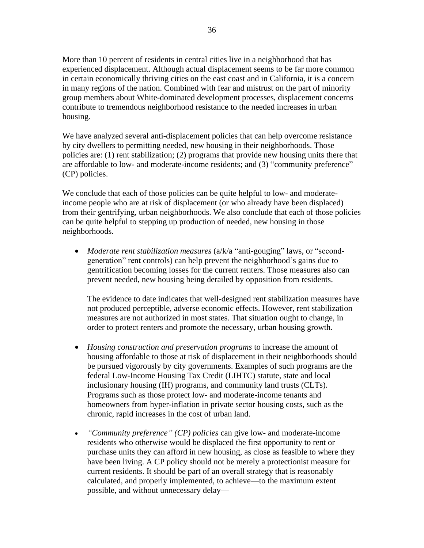More than 10 percent of residents in central cities live in a neighborhood that has experienced displacement. Although actual displacement seems to be far more common in certain economically thriving cities on the east coast and in California, it is a concern in many regions of the nation. Combined with fear and mistrust on the part of minority group members about White-dominated development processes, displacement concerns contribute to tremendous neighborhood resistance to the needed increases in urban housing.

We have analyzed several anti-displacement policies that can help overcome resistance by city dwellers to permitting needed, new housing in their neighborhoods. Those policies are: (1) rent stabilization; (2) programs that provide new housing units there that are affordable to low- and moderate-income residents; and (3) "community preference" (CP) policies.

We conclude that each of those policies can be quite helpful to low- and moderateincome people who are at risk of displacement (or who already have been displaced) from their gentrifying, urban neighborhoods. We also conclude that each of those policies can be quite helpful to stepping up production of needed, new housing in those neighborhoods.

• *Moderate rent stabilization measures* (a/k/a "anti-gouging" laws, or "secondgeneration" rent controls) can help prevent the neighborhood's gains due to gentrification becoming losses for the current renters. Those measures also can prevent needed, new housing being derailed by opposition from residents.

The evidence to date indicates that well-designed rent stabilization measures have not produced perceptible, adverse economic effects. However, rent stabilization measures are not authorized in most states. That situation ought to change, in order to protect renters and promote the necessary, urban housing growth.

- *Housing construction and preservation programs* to increase the amount of housing affordable to those at risk of displacement in their neighborhoods should be pursued vigorously by city governments. Examples of such programs are the federal Low-Income Housing Tax Credit (LIHTC) statute, state and local inclusionary housing (IH) programs, and community land trusts (CLTs). Programs such as those protect low- and moderate-income tenants and homeowners from hyper-inflation in private sector housing costs, such as the chronic, rapid increases in the cost of urban land.
- *"Community preference" (CP) policies* can give low- and moderate-income residents who otherwise would be displaced the first opportunity to rent or purchase units they can afford in new housing, as close as feasible to where they have been living. A CP policy should not be merely a protectionist measure for current residents. It should be part of an overall strategy that is reasonably calculated, and properly implemented, to achieve—to the maximum extent possible, and without unnecessary delay—